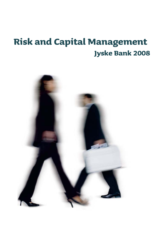# **Risk and Capital Management Jyske Bank 2008**

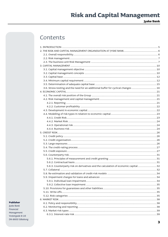**Jyske Bank** 

## Contents

| 3.6. Stress-testing and the need for an additional buffer for cyclical changes  16 |  |
|------------------------------------------------------------------------------------|--|
|                                                                                    |  |
|                                                                                    |  |
|                                                                                    |  |
|                                                                                    |  |
|                                                                                    |  |
|                                                                                    |  |
|                                                                                    |  |
|                                                                                    |  |
|                                                                                    |  |
|                                                                                    |  |
|                                                                                    |  |
|                                                                                    |  |
|                                                                                    |  |
|                                                                                    |  |
|                                                                                    |  |
|                                                                                    |  |
|                                                                                    |  |
|                                                                                    |  |
|                                                                                    |  |
|                                                                                    |  |
| 5.6.3. Counterparty risk on derivatives and the calculation of economic capital 32 |  |
|                                                                                    |  |
|                                                                                    |  |
|                                                                                    |  |
|                                                                                    |  |
|                                                                                    |  |
|                                                                                    |  |
|                                                                                    |  |
|                                                                                    |  |
|                                                                                    |  |
|                                                                                    |  |
|                                                                                    |  |
|                                                                                    |  |
|                                                                                    |  |

#### Publisher

Jyske Bank Financial Management Vestergade 8-16 DK-8600 Silkeborg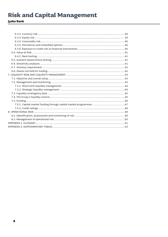## Jyske Bank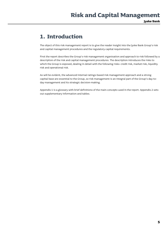## **1. Introduction**

The object of this risk management report is to give the reader insight into the Jyske Bank Group's risk and capital management procedures and the regulatory capital requirements.

First the report describes the Group's risk management organisation and approach to risk followed by a description of the risk and capital management procedures. The description introduces the risks to which the Group is exposed, dealing in detail with the following risks: credit risk, market risk, liquidity risk and operational risk.

As will be evident, the advanced internal ratings-based risk management approach and a strong capital base are essential to the Group, so risk management is an integral part of the Group's day-today management and its strategic decision-making.

Appendix 1 is a glossary with brief definitions of the main concepts used in the report. Appendix 2 sets out supplementary information and tables.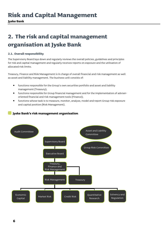## **2. The risk and capital management organisation at Jyske Bank**

## **2.1. Overall responsibility**

The Supervisory Board lays down and regularly reviews the overall policies, guidelines and principles for risk and capital management and regularly receives reports on exposure and the utilisation of allocated risk limits.

Treasury, Finance and Risk Management is in charge of overall financial and risk management as well as asset and liability management. The business unit consists of:

- functions responsible for the Group's own securities portfolio and asset and liability management (Treasury);
- functions responsible for Group financial management and for the implementation of adviseroriented financial and risk management tools (Finance);
- functions whose task is to measure, monitor, analyse, model and report Group risk exposure and capital position (Risk Management).

## **Jyske Bank's risk management organisation**

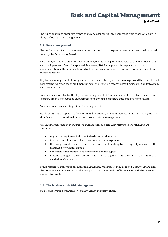The functions which enter into transactions and assume risk are segregated from those which are in charge of overall risk management.

### **2.2. Risk management**

The business unit Risk Management checks that the Group's exposure does not exceed the limits laid down by the Supervisory Board.

Risk Management also submits new risk management principles and policies to the Executive Board and the Supervisory Board for approval. Moreover, Risk Management is responsible for the implementation of these principles and policies with a view to improving both risk management and capital allocation.

Day-to-day management of Group credit risk is undertaken by account managers and the central credit department, whereas the overall monitoring of the Group's aggregate credit exposure is undertaken by Risk Management.

Treasury is responsible for the day-to-day management of Group market risk. Investments made by Treasury are in general based on macroeconomic principles and are thus of a long-term nature.

Treasury undertakes strategic liquidity management.

Heads of units are responsible for operational risk management in their own unit. The management of significant Group operational risks is monitored by Risk Management.

At quarterly meetings of the Group Risk Committee, subjects with relation to the following are discussed:

- regulatory requirements for capital-adequacy calculation;
- internal procedures for risk measurement and management;
- the Group's capital base, the solvency requirement, and capital and liquidity reserves (with attached contingency plans);
- allocation of risk capital to business units and risk types;
- material changes of the model set-up for risk management, and the annual re-estimate and validation of this setup.

Group market risk positions are assessed at monthly meetings of the Asset and Liability Committee. The Committee must ensure that the Group's actual market risk profile coincides with the intended market risk profile.

### **2.3. The business unit Risk Management**

Risk Management's organisation is illustrated in the below chart.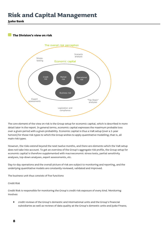**Jyske Bank** 

### **The Division's view on risk**



The core element of the view on risk is the Group setup for economic capital, which is described in more detail later in the report. In general terms, economic capital expresses the maximum probable loss over a given period with a given probability. Economic capital is thus a VaR setup (over a 1-year horizon) for those risk types to which the Group wishes to apply quantitative modelling; that is, all main risk types.

However, the risks extend beyond the next twelve months, and there are elements which the VaR setup does not take into account. To get an overview of the Group's aggregate risk profile, the Group setup for economic capital is therefore supplemented with macroeconomic stress tests, partial sensitivity analyses, top-down analyses, expert assessments, etc.

Day-to-day operations and the overall picture of risk are subject to monitoring and reporting, and the underlying quantitative models are constantly reviewed, validated and improved.

The business unit thus consists of five functions

*Credit Risk* 

Credit Risk is responsible for monitoring the Group's credit risk exposure of every kind. Monitoring involves

• credit reviews of the Group's domestic and international units and the Group's financial subsidiaries as well as reviews of data quality at the Group's domestic units and Jyske Finans;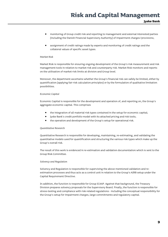- monitoring of Group credit risk and reporting to management and external interested parties (including the Danish Financial Supervisory Authority) of impairment charges/provisions;
- assignment of credit ratings made by experts and monitoring of credit ratings and the collateral values of specific asset types.

#### *Market Risk*

Market Risk is responsible for ensuring ongoing development of the Group's risk measurement and risk management tools in relation to market risk and counterparty risk. Market Risk monitors and reports on the utilisation of market risk limits at division and Group level.

Moreover, the department ascertains whether the Group's financial risk can safely be limited, either by quantification (applying fair risk calculation principles) or by the formulation of qualitative limitation possibilities.

#### *Economic Capital*

Economic Capital is responsible for the development and operation of, and reporting on, the Group's aggregate economic capital. This comprises

- the integration of all material risk types contained in the setup for economic capital;
- Jyske Bank's credit portfolio model with its attached pricing and risk tools;
- the operation and development of the Group's setup for operational risk.

#### *Quantitative Research*

Quantitative Research is responsible for developing, maintaining, re-estimating, and validating the quantitative models used for quantification and structuring the various risk types which make up the Group's overall risk.

The result of this work is evidenced in re-estimation and validation documentation which is sent to the Group Risk Committee.

#### *Solvency and Regulation*

Solvency and Regulation is responsible for supervising the above-mentioned validation and reestimation processes and thus acts as a control unit in relation to the Group's AIRB setup under the Capital Requirement Directive.

In addition, the function is responsible for Group ICAAP. Against that background, the Treasury Division prepares solvency proposals for the Supervisory Board. Finally, the function is responsible for stress-testing and compliance with risk-related regulations - including the conceptual responsibility for the Group's setup for impairment charges, large commitments and regulatory capital.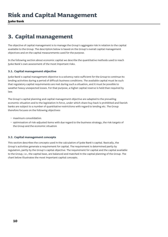**Jyske Bank** 

## **3. Capital management**

The objective of capital management is to manage the Group's aggregate risk in relation to the capital available to the Group. The description below is based on the Group's overall capital management objectives and on the capital measurements used for the purpose.

In the following section about economic capital we describe the quantitative methods used to reach Jyske Bank's own assessment of the most important risks.

## **3.1. Capital management objective**

Jyske Bank's capital management objective is a solvency ratio sufficient for the Group to continue its lending activities during a period of difficult business conditions. The available capital must be such that regulatory capital requirements are met during such a situation, and it must be possible to weather heavy unexpected losses. For that purpose, a higher capital reserve is held than required by law.

The Group's capital planning and capital management objective are adapted to the prevailing economic situation and to the legislation in force, under which share buy-back is prohibited and Danish banks are subject to a number of quantitative restrictions with regard to lending etc. The Group therefore focuses on the following objectives:

- maximum consolidation
- optimisation of risk-adjusted items with due regard to the business strategy, the risk targets of the Group and the economic situation

### **3.2. Capital management concepts**

This section describes the concepts used in the calculation of Jyske Bank's capital. Basically, the Group's activities generate a requirement for capital. The requirement is determined partly by regulation, partly by the Group's capital objective. The requirement for capital and the capital available to the Group, i.e., the capital base, are balanced and matched in the capital planning of the Group. The chart below illustrates the most important capital concepts.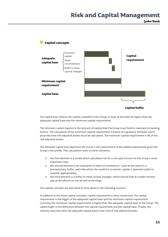**Jyske Bank** 



The *capital base* reflects the capital available to the Group; it must at all times be higher than the adequate capital base and the minimum capital requirement.

The *minimum capital required* is the amount of capital that the Group must hold to maintain its banking licence. The calculation of the minimum capital requirement is based on regulatory formulas which prescribe how risk-adjusted assets must be calculated. The minimum capital requirement is 8% of the risk-adjusted assets.

The *adequate capital base* expresses the Group's own assessment of the capital requirement given the Group's risk profile. This calculation rests on three elements:

- 1. the first element is a model which calculates risk for a one-year horizon for the Group's most important risks;
- 2. the second element is an evaluation of other circumstances such as the need for a precautionary buffer, and risks which the model for economic capital is deemed unable to quantify appropriately;
- 3. the third element is a buffer to meet cyclical changes, which should look at a wider horizon and at the effects on risk as well as earnings.

The capital concepts are described in more detail in the following sections.

In addition to the three capital concepts, *capital requirement* is often mentioned. The capital requirement is the bigger of the adequate capital base and the minimum capital requirement. Currently the minimum capital requirement is higher than the adequate capital base of the Group. The *capital buffer* is the difference between the capital requirement and the capital base. Finally, the *solvency need* describes the adequate capital base in per cent of risk-adjusted assets.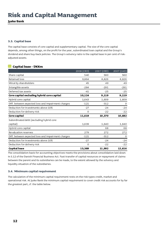**Jyske Bank** 

### **3.3. Capital base**

The capital base consists of core capital and supplementary capital. The size of the core capital depends, among other things, on the profit for the year, subordinated loan capital and the Group's dividend and share buy-back policies. The Group's solvency ratio is the capital base in per cent of riskadjusted assets.

## **Capital base - DKKm**

|                                                    | 2008 (CRD) | 2007 (CRD) | 2007 (CAD) |
|----------------------------------------------------|------------|------------|------------|
| Share capital                                      | 540        | 560        | 560        |
| Retained loss                                      | 9,864      | 8,826      | 8,826      |
| Minority shareholders                              | 45         | 49         | 49         |
| Intangible assets                                  | $-284$     | $-291$     | $-291$     |
| Deferred tax assets                                | $-41$      | $-25$      | $-25$      |
| Core capital excluding hybrid core capital         | 10,124     | 9,119      | 9,119      |
| Hybrid core capital                                | 1,643      | 1,609      | 1,609      |
| Diff. between expected loss and impairment charges | $-121$     | $-312$     | 0          |
| Deduction for investments above 10%                | $-27$      | $-24$      | $-24$      |
| Deduction for delivery risk                        | $\Omega$   | $-22$      | $-22$      |
| Core capital                                       | 11,619     | 10,370     | 10,682     |
| Subordinated debt (excluding hybrid core           |            |            |            |
| capital)                                           | 1,639      | 1,640      | 1,640      |
| Hybrid core capital                                |            | 68         | 68         |
| Revaluation reserves                               | 279        | 272        | 272        |
| Diff. between expected loss and impairment charges | $-121$     | $-312$     | 0          |
| Deduction for investments above 10%                | $-27$      | $-24$      | $-24$      |
| Deduction for delivery risk                        | 0          | $-22$      | $-22$      |
| Capital base                                       | 13,389     | 11,992     | 12,616     |

The consolidation basis for accounting objectives meets the provisions about consolidation laid down in S.12 of the Danish Financial Business Act. Fast transfer of capital resources or repayment of claims between the parent and its subsidiaries can be made, to the extent allowed by the solvency and liquidity situation of the subsidiaries.

### **3.4. Minimum capital requirement**

The calculation of the minimum capital requirement rests on the risk types credit, market and operational risk. At Jyske Bank the minimum capital requirement to cover credit risk accounts for by far the greatest part, cf. the table below.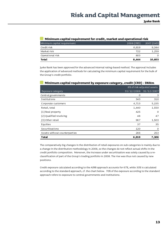### **Minimum capital requirement for credit, market and operational risk**

| Minimum capital requirement | 2008 (CRD) | 2007 (CAD) |
|-----------------------------|------------|------------|
| Credit risk                 | 6,919      | 9,344      |
| Market risk                 | 722        | 1,259      |
| Operational risk            | 803        |            |
| <b>Total</b>                | 8,444      | 10,603     |

Jyske Bank has been approved for the advanced internal rating-based method. The approval includes the application of advanced methods for calculating the minimum capital requirement for the bulk of the Group's credit portfolio.

| у — г                         |       |                            |
|-------------------------------|-------|----------------------------|
|                               |       | 8% of risk-adjusted assets |
| Exposure category             |       | 31/12/2008 31/12/2007      |
| Central governments           | O     | 3                          |
| Institutions                  | 343   | 310                        |
| Corporate customers           | 4,713 | 5,155                      |
| Retail, total                 | 1,440 | 1,550                      |
| (1) Real property             | 425   | $\mathbf 0$                |
| (2) Qualified revolving       | 48    | 47                         |
| (3) Other retail              | 967   | 1,503                      |
| Equities                      | 37    | 35                         |
| Securitisations               | 120   | $\mathsf{O}$               |
| Assets without counterparties | 266   | 253                        |
| <b>Total</b>                  | 6,919 | 7,306                      |

### **Minimum capital requirement by exposure category, credit (CRD) - DKKm**

The comparatively big changes in the distribution of retail exposures on sub-categories is mainly due to a change in the distribution methodology in 2008, so the changes do not reflect actual shifts in the credit portfolio composition. Moreover, the increase under securitisation was solely caused by a reclassification of part of the Group's trading portfolio in 2008. The rise was thus not caused by new positions.

Credit exposure calculated according to the AIRB approach accounts for 67%, while 33% is calculated according to the standard approach, cf. the chart below. 70% of the exposure according to the standard approach refers to exposure to central governments and institutions.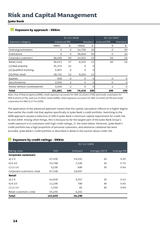## **Jyske Bank**

## **Exposure by approach - DKKm**

|                               | 31/12/2008          |                |             | 31/12/2007 |                |          |
|-------------------------------|---------------------|----------------|-------------|------------|----------------|----------|
| Exposure category             | <b>Advanced IRB</b> |                |             | Standard   | Avanced IRB    | Standard |
|                               | <b>DKKm</b>         | %              | <b>DKKm</b> | %          | %              | %        |
| Central governments           | O                   | O              | 14,756      | 20         | $\Omega$       | 30       |
| Institutions                  | 0                   | 0              | 36,849      | 50         | 0              | 24       |
| Corporate customers           | 89,499              | 59             | 14,501      | 19         | 58             | 32       |
| Retail, total                 | 56,012              | 37             | 8,310       | 11         | 40             | 14       |
| (1) Real property             | 31,374              | 21             | 0           | O          |                |          |
| (2) Qualified revolving       | 5,907               | 4              | 0           | O          |                |          |
| (3) Other retail              | 18,731              | 12             | 8,310       | 11         |                |          |
| Equities                      | 458                 | $\Omega$       | 0           | $\Omega$   | $\Omega$       | 0        |
| Securitisations               | 2,592               | 2              | 0           | O          | O              | $\Omega$ |
| Assets without counterparties | 3,330               | $\overline{2}$ | O           | O          | $\overline{2}$ | O        |
| <b>Total</b>                  | 151,891             | 100            | 74,416      | 100        | 100            | 100      |

Note: Out of Real property (AIRB), retail exposure accounts for DKK 22,922m (73%) and small corporates for DKK 8,452m (27%), and out of Other retail (AIRB), retail exposure accounts for DKK 12,554m (67%) and small corporates for DKK 6,177m (33%).

The application of the advanced approach means that the capital calculation reflects to a higher degree than earlier the credit risk that applies specifically to Jyske Bank's credit portfolio. Switching to the AIRB approach caused a reduction of 29% in Jyske Bank's minimum capital requirement for credit risk by end-2008. Among other things, this is because by far the largest part of the Jyske Bank Group's credit exposure is to customers with high credit ratings, cf. the chart below. Moreover, Jyske Bank's credit portfolio has a high proportion of personal customers, and extensive collateral has been provided. Jyske Bank's credit portfolio is described in detail in the section about credit risk.

## **Exposure by credit ratings - DKKm**

|                            |            | 31/12/2008 |               |            |
|----------------------------|------------|------------|---------------|------------|
| Rating class               | <b>EAD</b> | Undrawn    | Average LGD % | Average RW |
| <b>Corporate customers</b> |            |            |               |            |
| $a)$ 1-5                   | 47,330     | 16,251     | 42            | 0.30       |
| $b) 6-10$                  | 34,788     | 7,166      | 42            | 0.70       |
| c) $11 - 14$               | 5,230      | 680        | 35            | 0.94       |
| Corporate customers, total | 87,348     | 24,097     |               |            |
| Retail                     |            |            |               |            |
| a) 1-5                     | 42,609     | 3,357      | 33            | 0.13       |
| $b) 6-10$                  | 11,296     | 780        | 40            | 0.45       |
| c) $11 - 14$               | 1,350      | 65         | 40            | 0.99       |
| Retail customers, total    | 55,255     | 4,202      |               |            |
| <b>Total</b>               | 142,603    | 28,299     |               |            |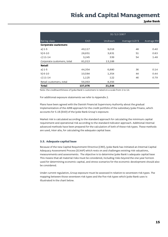**Jyske Bank** 

|                            |            |         | 31/12/2007    |            |
|----------------------------|------------|---------|---------------|------------|
| Rating class               | <b>EAD</b> | Undrawn | Average LGD % | Average RW |
| <b>Corporate customers</b> |            |         |               |            |
| $a)$ 1-5                   | 49,117     | 9,018   | 48            | 0.40       |
| $b) 6-10$                  | 28,651     | 3,831   | 51            | 0.83       |
| c) $11 - 14$               | 3,245      | 339     | 54            | 1.48       |
| Corporate customers, total | 81,013     | 13,188  |               |            |
| Retail                     |            |         |               |            |
| a) $1-5$                   | 44,354     | 6,880   | 36            | 0.14       |
| $b) 6-10$                  | 10,584     | 1,354   | 44            | 0.44       |
| c) $11 - 14$               | 1,125      | 122     | 46            | 0.79       |
| Retail customers, total    | 56,063     | 8,356   |               |            |
| <b>Total</b>               | 137,076    | 21,544  |               |            |

Note: the creditworthiness of Jyske Bank's customers is rated on a scale from 1 to 14.

For additional exposure statements we refer to Appendix 2.

Plans have been agreed with the Danish Financial Supervisory Authority about the gradual implementation of the AIRB approach for the credit portfolio of the subsidiary Jyske Finans, which accounts for 5.1% (EAD) of the Jyske Bank Group's exposure.

Market risk is calculated according to the standard approach for calculating the minimum capital requirement and operational risk according to the standard indicator approach. Additional internal advanced methods have been prepared for the calculation of both of these risk types. These methods are used, inter alia, for calculating the adequate capital base.

### **3.5. Adequate capital base**

Because of the new Capital Requirement Directive (CRD), Jyske Bank has initiated an Internal Capital Adequacy Assessment Process (ICAAP) which rests on and challenges existing risk valuations, measurements and assessments. The objective is to determine Jyske Bank's adequate capital base This means that all material risks must be considered, including risks beyond the one-year horizon used for determining economic capital, and stress scenarios for the economic development should also be considered.

Under current regulation, Group exposure must be assessed in relation to seventeen risk types. The mapping between those seventeen risk types and the five risk types which Jyske Bank uses is illustrated in the chart below.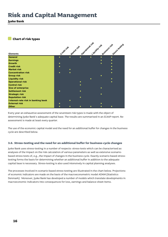**Jyske Bank** 

## **Chart of risk types**

|                                    | Credit rist | <b>Matter risk</b> | Operational risk | Liquidity risk | Business risk | Stress testing |
|------------------------------------|-------------|--------------------|------------------|----------------|---------------|----------------|
| <b>Elements</b>                    |             |                    |                  |                |               |                |
| General                            | $\bullet$   | $\bullet$          | $\bullet$        | $\bullet$      | $\bullet$     | $\bullet$      |
| <b>Earnings</b>                    |             |                    |                  |                | $\bullet$     | $\bullet$      |
| <b>Growth</b>                      |             |                    |                  |                | $\bullet$     | $\bullet$      |
| <b>Credit risk</b>                 |             |                    |                  |                |               | $\bullet$      |
| <b>Market risk</b>                 |             | ∙                  |                  |                |               |                |
| <b>Concentration risk</b>          | $\bullet$   | $\bullet$          |                  |                |               | $\bullet$      |
| <b>Group risk</b>                  |             |                    |                  |                |               |                |
| <b>Liquidity risk</b>              |             |                    |                  | $\bullet$      |               | $\bullet$      |
| <b>Operational risk</b>            |             |                    |                  |                |               | $\bullet$      |
| <b>Control risk</b>                |             |                    | $\bullet$        |                |               |                |
| <b>Size of enterprise</b>          |             |                    |                  |                |               |                |
| <b>Settlement risk</b>             |             |                    | $\bullet$        |                |               |                |
| <b>Strategic risk</b>              |             |                    |                  |                |               |                |
| <b>Reputation risk</b>             |             |                    | $\bullet$        |                |               |                |
| Interest-rate risk in banking book |             |                    |                  |                |               |                |
| <b>External risk</b>               |             |                    |                  |                |               |                |
| Other                              |             |                    |                  |                |               | $\bullet$      |

Every year an exhaustive assessment of the seventeen risk types is made with the object of determining Jyske Bank's adequate capital base. The results are summarised in an ICAAP report. Reassessment is made at least every quarter.

The use of the economic capital model and the need for an additional buffer for changes in the business cycle are described below.

### **3.6. Stress-testing and the need for an additional buffer for business-cycle changes**

Jyske Bank uses stress-testing in a number of respects: stress-tests which can be characterised as analyses of the impact on the risk calculation of various parameters as well as extensive scenariobased stress-tests of, e.g., the impact of changes in the business cycle. Exactly scenario-based stresstesting forms the basis for determining whether an additional buffer in addition to the adequate capital base is necessary. Stress-testing is also used intensively in capital planning analyses.

The processes involved in scenario-based stress-testing are illustrated in the chart below. Projections of economic indicators are made on the basis of the macroeconometric model ADAM (Statistics Denmark). Moreover, Jyske Bank has developed a number of models which translate developments in macroeconomic indicators into consequences for loss, earnings and balance-sheet items.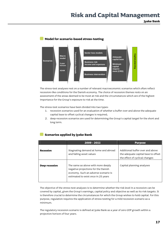**Jyske Bank** 

#### **Sector loss models Transmission channels Transmission channels Capital planning Macro Adequate model capital base Scenarios Business risk 3-year horizon Minimum income and expenses capital require-ADAM ment (CRD) Business intervention**

The stress-test analyses rest on a number of relevant macroeconomic scenarios which often reflect recession-like conditions for the Danish economy. The choice of recession themes rests on an assessment of the areas deemed to be most at risk and the circumstances which are of the highest importance for the Group's exposure to risk at the time.

The stress-test scenarios have been divided into two types:

- 1. recession scenarios used for an evaluation of whether a buffer over and above the adequate capital base to offset cyclical changes is required;
- 2. deep-recession scenarios are used for determining the Group's capital target for the short and long term.

## **Scenarios applied by Jyske Bank**

|                | $2009 - 2011$                                                                                                                                            | <b>Purpose</b>                                                                                            |
|----------------|----------------------------------------------------------------------------------------------------------------------------------------------------------|-----------------------------------------------------------------------------------------------------------|
| Recession      | Stagnating demand at home and abroad<br>and falling asset values                                                                                         | Additional buffer over and above<br>the adequate capital base to offset<br>the effect of cyclical changes |
| Deep recession | The same as above with more deeply<br>negative projections for the Danish<br>economy. Such an adverse scenario is<br>estimated to exist once in 25 years | Capital planning analyses                                                                                 |

The objective of the stress-test analyses is to determine whether the risk level in a recession can be covered by capital, given the Group's earnings, capital policy and objective as well as its risk targets. It is therefore crucial to determine the circumstances for which the Group wishes to hold capital. For this purpose, regulation requires the application of stress-testing for a mild recession scenario as a minimum.

The regulatory recession scenario is defined at Jyske Bank as a year of zero GDP growth within a projection horizon of four years.

## **Model for scenario-based stress-testing**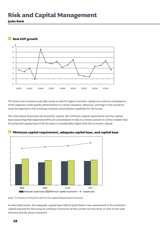**Jyske Bank** 



The stress-test scenarios typically reveal a need for higher economic capital as a natural consequence of the expected credit quality deterioration in a stress situation. Moreover, earnings in the scenarios must be expected to fall resulting in poorer consolidation capability for the Group.

The chart below illustrates the economic capital, the minimum capital requirement and the capital base (assuming that expected profits are consolidated in full) in a stress scenario It will be evident that the projected capital base of all the years is considerably higher than the economic capital.



**Minimum capital requirement, adequate capital base, and capital base**

Note: \*) inclusive of interim rules for the Capital Requirement Directive

As described earlier, the adequate capital base reflects Jyske Bank's own assessment of the minimum capital required for the Group to continue in business at the current activity level, in view of one-year horizons and the stress scenarios.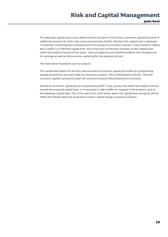The adequate capital base is thus determined on the basis of the Group's economic capital (inclusive of additional amounts for other risks and a precautionary buffer). Whether this capital level is adequate, is tested by considering the consequences for the Group of a recession scenario. If the economic capital plus a buffer is a sufficient capital level, the Group must not become insolvent at this capital level within the analysis horizon of four years. Such an analysis must therefore address the consequences for earnings as well as the economic capital within the analysis horizon.

The chart below illustrates such an analysis.

The capital base (which for the first year amounts to economic capital plus buffers) is projected by adding the profit for the year under the recession scenario. This is illustrated by the line. Then the economic capital is projected under the recession scenario (illustrated by the columns).

Should the economic capital plus a precautionary buffer, if any, at any time within the analysis horizon exceed the projected capital base, it is necessary to add a buffer for changes in the business cycle to the adequate capital base. This is the case in the chart below, where the capital base during the period 2009-2010 drops below the projected economic capital during a recession scenario.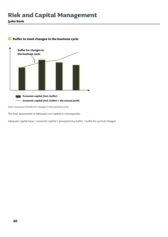**Jyske Bank** 



## **Buffer to meet changes in the business cycle**

Note: exclusive of buffer for changes in the business cycle

The final assessment of adequate core capital is consequently:

Adequate capital base = economic capital + precautionary buffer + buffer for cyclical changes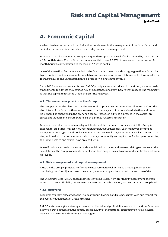**Jyske Bank** 

## **4. Economic Capital**

As described earlier, economic capital is the core element in the management of the Group's risk and capital structure and is a central element of day-to-day risk management

Economic capital is the minimum capital required to support the level of risk assumed by the Group at a 12-month horizon. For the Group, economic capital covers 99.97% of unexpected losses over a 12 month horizon, corresponding to the level of AA-rated banks.

One of the benefits of economic capital is the fact that it comes up with an aggregate figure for all risk types, products and business units, which takes into consideration correlation effects at various levels. It thus produces one unified risk figure expressed in a single unit of value.

Since 2002 when economic capital and RAROC principles were introduced in the Group, we have made amendments to address the changed risk circumstances and know-how in that respect. The main point is that the capital reflects the Group's risk for the next year.

### **4.1. The overall risk position of the Group**

The Group pursues the objective that the economic capital must accommodate all material risks. The risk picture of the Group is therefore assessed continuously, and it is considered whether additional risks should be quantified in the economic capital. Moreover, all risks expressed in the capital are tested and validated to ensure that risk is at all times reflected accurately.

Economic capital includes advanced quantification of the four main risk types which the Group is exposed to: credit risk, market risk, operational risk and business risk. Each main type comprises various other risk types. Credit risk includes concentration risk, migration risk as well as counterparty risk, and market risk covers interest-rate, currency, commodity and equity risk. Under operational risk, the Group's image and control risks are dealt with.

Diversification is taken into account within individual risk types and between risk types. However, the calculation of the Group's adequate capital base does not yet take into account diversification between risk types.

### **4.2. Risk management and capital management**

RAROC is the Group's principal performance measurement tool. It is also a management tool for calculating the risk-adjusted return on capital, economic capital being used as a measure of risk.

The Group now uses RAROC-based methodology at all levels, from profitability assessment of single transactions to profitability assessment at customer, branch, division, business unit and Group level.

#### **4.2.1. Reporting**

Economic capital is allocated to the Group's various divisions and business units with due respect for the overall management of Group activities.

RAROC statements give a strategic overview of the risk and profitability involved in the Group's various activities. Developments in the general credit quality of the portfolio, concentration risk, collateral values etc. are examined carefully in this regard.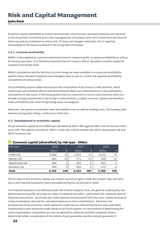**Jyske Bank** 

Economic capital and RAROC at division and business unit level are calculated quarterly and reported to the Group Risk Committee and to the managements of business units which determine activities for follow-up and any initiatives to reduce risk. If Group risk changes materially, this is reported immediately to the Executive Board or the Group Risk Committee.

### **4.2.2. Customer profitability**

RAROC is also applied at customer and product level to measure profit, to assess profitability as well as for pricing new loans. It is therefore essential that the Group is able to calculate economic capital at customer and facility level.

RAROC calculations and the facilities for price fixing are made available in a customer profitability system where relevant employees and managers have access to current risk-adjusted profitability calculations at various levels.

The profitability system takes into account the composition of the Group's credit portfolio, which means that concentration effects and diversification effects are reflected direct in the profitability calculations of new loans. If the Group grants loans to customers in sectors and countries which are already strongly represented in the Group's credit portfolio, a higher economic capital and therefore lower profitability will, other things being equal, be assigned.

Moreover, the system incorporates fixed and variable costs as well as funding costs. The funding costs depend, among other things, on the term of the loan.

### **4.3. Development in economic capital**

Group economic capital at end-2008 was calculated at DKK 6.8bn against DKK 6.2bn at the end -2007, up by 10%. The capital consisted of 74% for credit risk, 13% for market risk, 4% for operational risk and 9% for business risk.

| 2008<br>2007<br>2006<br>%<br>%<br>%<br><b>DKKm</b><br><b>DKKm</b><br><b>DKKm</b><br>Credit risk<br>4,988<br>741<br>4,502<br>73<br>76<br>4,375<br>Market risk<br>13<br>639<br>891<br>771<br>13<br>11<br>Operational risk<br>288<br>302<br>340<br>6<br>5<br>Business risk<br>589<br>540<br>8<br>470<br>9<br>8 | <b>Total</b> | 6,756 | 100 | 6,153 | 100 | 5,788 | 100 |
|-------------------------------------------------------------------------------------------------------------------------------------------------------------------------------------------------------------------------------------------------------------------------------------------------------------|--------------|-------|-----|-------|-----|-------|-----|
| Risk type                                                                                                                                                                                                                                                                                                   |              |       |     |       |     |       |     |
|                                                                                                                                                                                                                                                                                                             |              |       |     |       |     |       |     |
|                                                                                                                                                                                                                                                                                                             |              |       |     |       |     |       |     |
|                                                                                                                                                                                                                                                                                                             |              |       |     |       |     |       |     |
|                                                                                                                                                                                                                                                                                                             |              |       |     |       |     |       |     |
|                                                                                                                                                                                                                                                                                                             |              |       |     |       |     |       |     |

## **Economic capital (diversified) by risk type - DKKm**

The increase in the economic capital was mainly caused by higher credit and market risks, primairly due to the financial turbulence which prevailed during the second half of 2008.

The financial turbulence has affected credit risk in three respects. First, the general credit quality has deteriorated (rising PD), secondly the value of collateral has fallen - particularly the collateral value of financial instruments - and finally the credit exposure (measured by EAD) has risen, mainly because of rising counterparty risk and the calculated exposure to loan commitments. Moreover, the development of the economic credit capital for credit risk was affected by the fact that Jyske Bank implemented a new advanced model setup in the fourth quarter, for the purpose of determining the value of guarantees. Guarantees are now recognised as collateral and their collateral value is determined under consideration of the merits of each guarantee and the relevant guarantor's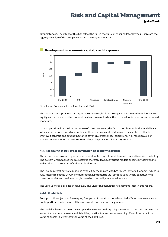circumstances. The effect of this has offset the fall in the value of other collateral types. Therefore the aggregate value of the Group's collateral rose slightly in 2008.



## **Development in economic capital, credit exposure**

Note: index 100: economic credit capital, end-2007

The market risk capital rose by 16% in 2008 as a result of the strong increase in market volatility. For equity and currency risk the risk level has been lowered, while the risk level for interest rates remained moderate.

Group operational risk fell in the course of 2008. However, the fall masks changes in the model basis which, in isolation, caused a reduction in the economic capital. Moreover, the capital fell thanks to improved controls and bought insurance cover. In certain areas, operational risk rose because of market developments and stricter rules about the provision of advisory service.

### **4.4. Modelling of risk types in relation to economic capital**

The various risks covered by economic capital make very different demands on portfolio risk modelling. The system which makes the calculations therefore features various models specifically designed to reflect the characteristics of individual risk types.

The Group's credit portfolio model is handled by means of "Moody's KMV's Portfolio Manager" which is fully integrated in the Group. For market risk a parametric VaR setup is used which, together with operational risk and business risk, is based on internally-developed models.

The various models are described below and under the individual risk sections later in this report.

### **4.4.1. Credit Risk**

To support the objective of managing Group credit risk at portfolio level, Jyske Bank uses an advanced credit portfolio model across all business units and customer segments.

The model is based on a Merton setup with customer credit quality measured as the ratio between the value of a customer's assets and liabilities, relative to asset value volatility. 'Default' occurs if the value of assets is lower than the value of the liabilities.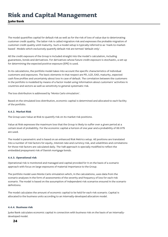## **Jyske Bank**

The model quantifies capital for default risk as well as for the risk of loss of value due to deteriorating customer credit quality. The latter risk is called migration risk and expresses the probable migration of customer credit quality until maturity. Such a model setup is typically referred to as 'mark-to-marketbased'. Models which exclusively quantify default risk are termed 'default-only'.

All the credit exposure of the Group is included straight into the model's calculation, including guarantees, bonds and derivatives. For derivatives whose future credit exposure is stochastic, a set-up for determining the expected positive exposure (EPE) is used.

In its calculations, the portfolio model takes into account the specific characteristics of individual customers and exposures. The basic elements in that respect are PD, LGD, EAD, maturity, expected cash flow profiles and uncertainty about loss in case of default. The correlation between the customers in the portfolio is modelled by means of a factor model using information about customers' activities in countries and sectors as well as sensitivity to general systematic risk.

The loss distribution is addressed by 'Monte Carlo simulation'.

Based on the simulated loss distribution, economic capital is determined and allocated to each facility of the portfolio.

### **4.4.2. Market Risk**

The Group uses Value at Risk to quantify risk on its market risk positions.

Value at Risk expresses the maximum loss that the Group is likely to suffer over a given period at a certain level of probability. For the economic capital a horizon of one year and a probability of 99.97% are used.

The model is parametric and is based on an enhanced Risk Metrics setup. All positions are translated into a number of risk factors for equity, interest-rate and currency risk, and volatilities and correlations for those risk factors are calculated daily. The VaR approach is specially modified to reflect the embedded prepayment risk of Danish mortgage bonds.

### **4.4.3. Operational risk**

Operational risk is monitored and managed and capital provided for it on the basis of a scenario approach with focus on large exposures of material importance to the Group.

The portfolio model uses Monte Carlo simulation which, in the calculations, uses data from the scenario analyses in the form of assessments of the severity and frequency of loss for each risk scenario. The model is based on the assumption of independent risk scenarios ensured in the scenario definitions.

The model calculates the amount of economic capital to be held for each risk scenario. Capital is allocated to the business units according to an internally-developed allocation model.

### **4.4.4. Business risk**

Jyske Bank calculates economic capital in connection with business risk on the basis of an internallydeveloped model.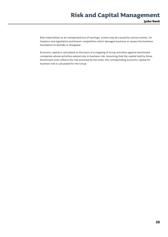Risk materialises as an unexpected loss of earnings. Losses may be caused by various events, for instance new legislation and keener competition which damages business or causes the business foundation to dwindle or disappear.

Economic capital is calculated on the basis of a mapping of Group activities against benchmark companies whose activities extend only to business risk. Assuming that the capital held by those benchmark units reflects the risk assumed by the units, the corresponding economic capital for business risk is calculated for the Group.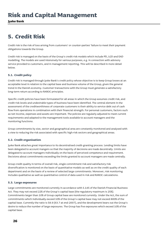**Jyske Bank** 

## **5. Credit Risk**

Credit risk is the risk of loss arising from customers' or counter-parties' failure to meet their payment obligations towards the Group.

Credit risk is managed on the basis of the Group's credit risk models which include PD, LGD and EAD modelling. The models are used intensively for various purposes, e.g. in connection with advisory service provided to customers, and in management reporting. This will be described in more detail below.

### **5.1. Credit policy**

Credit risk is managed through Jyske Bank's credit policy whose objective is to keep Group losses at an acceptable level in relation to the capital base and business volume of the Group, given the general trend in the Danish economy. Customer transactions with the Group must generate a satisfactory long-term return according to RAROC principles.

Specific credit policies have been formulated for all areas in which the Group assumes credit risk, and credit risk levels and undesirable types of business have been identified. The central element in the assessment of the creditworthiness of corporate customers is their ability to service debt out of cash flow from operations in combination with their financial strength. For personal customers, factors such as net income, expenses and assets are important. The policies are regularly adjusted to meet current requirements and adapted to the management tools available to account managers and the monitoring functions.

Group commitments by size, sector and geographical area are constantly monitored and analysed with a view to reducing the risk associated with specific high-risk sectors and geographical areas.

### **5.2. Credit organisation**

Jyske Bank attaches great importance to its decentralised credit-granting process. Lending limits have been delegated to account mangers so that the majority of decisions are made decentrally. Limits are delegated to account managers individually on the basis of perceived competence and requirement. Decisions about commitments exceeding the limits granted to account managers are made centrally.

Group credit quality in terms of overall risk, single commitment risk and satisfactory risk diversification is monitored on the basis of quantitative models as well as on the credit quality of each department and on the basis of a review of selected large commitments. Moreover, risk monitoring includes qualitative as well as quantitative control of data used in risk and RAROC calculations.

### **5.3. Large exposures**

Large commitments are monitored currently in accordance with S.145 of the Danish Financial Business Act. They may not exceed 22% of the Group's capital base (the regulatory maximum is 25%). Commitments larger than 10% of Group capital base are monitored currently. Under the Act, the sum of commitments which individually exceed 10% of the Group's capital base may not exceed 800% of the capital base. Currently the ratio is 58.9 (63.7 at end-2007), and the development bears out the Group's desire to reduce the number of large exposures. The Group has five exposures which exceed 10% of the capital base.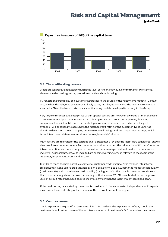

## **Exposures in excess of 10% of the capital base**

### **5.4. The credit-rating process**

Credit procedures are adjusted to match the level of risk on individual commitments. Two central elements in the credit-granting procedure are PD and credit rating.

PD reflects the probability of a customer defaulting in the course of the next twelve months. 'Default' occurs when the obligor is considered unlikely to pay his obligations. By far the most customers are awarded a PD on the basis of statistical credit scoring models developed internally in the Group.

Very large enterprises and enterprises within special sectors are, however, awarded a PD on the basis of an assessment by an independent expert. Examples are real property companies, financing companies, financial institutions and central governments. In those cases external ratings, if available, will be taken into account in the internal credit rating of the customer. Jyske Bank has therefore developed its own mapping between external ratings and the Group's own ratings, which takes into account differences in risk methodologies and definitions.

Many factors are relevant for the calculation of a customer's PD. Specific factors are considered, but we also take into account economic factors external to the customer. The calculation of PD therefore takes into account financial data, changes in transaction data, management and market circumstances, industrial assessments, etc. Also included are specific warning signs in relation to the credit of the customer, his payment profile and history.

In order to reach the best possible overview of customer credit quality, PD is mapped into internal credit ratings. Jyske Bank's credit ratings are on a scale from 1 to 14, 1 being the highest credit quality (the lowest PD) and 14 the lowest credit quality (the highest PD). The scale is constant over time so that customers migrate up or down depending on their current PD. PD is calibrated to the long-term level of default rates measured back to the mid-eighties when the latest major recession began.

If the credit rating calculated by the model is considered to be inadequate, independent credit experts may review the credit rating at the request of the relevant account manager.

### **5.5. Credit exposure**

Credit exposures are quantified by means of EAD. EAD reflects the exposure at default, should the customer default in the course of the next twelve months. A customer's EAD depends on customer-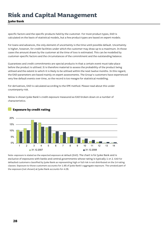**Jyske Bank** 

specific factors and the specific products held by the customer. For most product types, EAD is calculated on the basis of statistical models, but a few product types are based on expert models.

For loans and advances, the only element of uncertainty is the time until possible default. Uncertainty is higher, however, for credit facilities under which the customer may draw up to a maximum. In those cases the amount drawn by the customer at the time of loss is estimated. This can be modelled by customer-specific factors and the circumstances of the commitment and the outstanding balance.

Guarantees and credit commitments are special products in that a certain event must take place before the product is utilised. It is therefore material to assess the probability of the product being utilised and the extent to which it is likely to be utilised within the next twelve months. In this regard, the EAD parameters are based mainly on expert assessments. The Group's customers have experienced very few default events over time, so the record is too meagre for statistical modelling.

For derivatives, EAD is calculated according to the EPE method. Please read about this under counterparty risk.

Below is shown Jyske Bank's credit exposure measured as EAD broken down on a number of characteristics.



## **Exposure by credit rating**

Note: exposure is stated as the expected exposure at default (EAD). The chart is for Jyske Bank and is exclusive of exposures with banks and central governments whose rating is typically 1 or 2. EAD for defaulted customers classified by Jyske Bank as representing high or full risk is not distributed on the 14 rating classes. Exposure to those customers accounts for 1.8% of Jyske Bank's aggregate exposure. The unrated part of the exposure (not shown) at Jyske Bank accounts for 4.0%.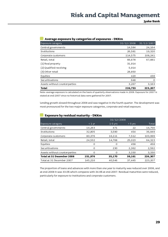| Average exposure by categories of exposures - DKKm |
|----------------------------------------------------|
|                                                    |

| Exposure category             | 31/12/2008 | 31/12/2007 |
|-------------------------------|------------|------------|
| Central governments           | 14,584     | 24,164     |
| Institutions                  | 26,581     | 19,320     |
| Corporate customers           | 114,575    | 108,241    |
| Retail, total                 | 66,678     | 67,881     |
| $(1)$ Real property           | 31,914     |            |
| (2) Qualified revolving       | 5,914      |            |
| (3) Other retail              | 28,850     |            |
| Equities                      | 420        | 438        |
| Securitisations               | 648        | 0          |
| Assets without counterparties | 3,267      | 3,163      |
| <b>Total</b>                  | 226,753    | 223,207    |

Note: average exposure is calculated on the basis of quarterly observations made in 2008. Exposure for 2007 is stated at end-2007 since no historical data were gathered for 2007.

Lending growth slowed throughout 2008 and was negative in the fourth quarter. The development was most pronounced for the two major exposure categories, corporate and retail exposure.

|                               | 31/12/2008          |             |           |         |  |
|-------------------------------|---------------------|-------------|-----------|---------|--|
| Exposure category             | $< 1 \,\mathrm{yr}$ | $1 - 5$ yrs | $> 5$ yrs | Total   |  |
| Central governments           | 14,263              | 471         | 22        | 14,756  |  |
| Institutions                  | 32,805              | 3,590       | 454       | 36,849  |  |
| Corporate customers           | 80,376              | 16,111      | 7,512     | 103,999 |  |
| Retail, total                 | 24,532              | 14,768      | 25,023    | 64,323  |  |
| Equities                      | O                   | 0           | 458       | 458     |  |
| Securitisations               | 0                   | 230         | 2,362     | 2,592   |  |
| Assets without counterparties | O                   | 0           | 3,330     | 3,330   |  |
| Total at 31 December 2008     | 151,976             | 35,170      | 39,161    | 226,307 |  |
| Total at 31 December 2007     | 145,216             | 40,546      | 37,445    | 223,207 |  |

### **Exposure by residual maturity - DKKm**

The proportion of loans and advances with more than one year to maturity was reduced over 2008, and at end-2008 it was 33.0% which compares with 34.9% at end-2007. Residual maturities were reduced, particularly for exposure to institutions and corporate customers.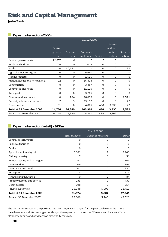## **Jyske Bank**

## **Exposure by sector - DKKm**

|                                |          |          | 31/12/2008   |          |          |           |
|--------------------------------|----------|----------|--------------|----------|----------|-----------|
|                                |          |          |              |          | Assets   |           |
|                                | Central  |          |              |          | without  |           |
|                                | govern-  | Institu- | Corporate    |          | counter- | Securiti- |
|                                | ments    | tions    | customers    | Equities | parties  | sations   |
| Central governments            | 12,870   | O        | $\Omega$     | 0        | O        | 0         |
| Public authorities             | 1,776    | 0        | 1,012        | $\Omega$ | $\Omega$ | 0         |
| Banks                          | 40       | 36,742   | $\mathbf{1}$ | $\Omega$ | $\Omega$ | 37        |
| Agriculture, forestry, etc     | $\Omega$ | 0        | 6,680        | $\Omega$ | $\Omega$ | 0         |
| Fishing industry               | $\Omega$ | 0        | 1,515        | $\Omega$ | $\Omega$ | 0         |
| Manufacturing and mining, etc. | 12       | 0        | 16,414       | $\Omega$ | $\Omega$ | 0         |
| Construction                   | $\Omega$ | $\Omega$ | 3,487        | $\Omega$ | $\Omega$ | 0         |
| Commerce and hotel             | $\Omega$ | 0        | 11,129       | $\Omega$ | $\Omega$ | 0         |
| Transport                      | $\Omega$ | $\Omega$ | 3,765        | $\Omega$ | $\Omega$ | 0         |
| Finance and insurance          | $\Omega$ | 104      | 26,079       | $\Omega$ | O        | 2,511     |
| Property admin. and service    | 7        | 3        | 29,112       | $\Omega$ | $\Omega$ | 22        |
| Other sectors                  | 51       | 0        | 4,805        | 458      | 3,330    | 22        |
| Total at 31 December 2008      | 14,756   | 36,849   | 103,999      | 458      | 3,330    | 2,592     |
| Total at 31 December 2007      | 24,164   | 19,320   | 108,241      | 438      | 3,162    | 0         |

## **Exposure by sector (retail) - DKKm**

|                                | 31/12/2008    |                     |          |  |  |
|--------------------------------|---------------|---------------------|----------|--|--|
|                                | Real property | Qualified revolving | Other    |  |  |
| Central governments            | 0             | 0                   | 0        |  |  |
| Public authorities             | $\Omega$      | $\Omega$            | $\Omega$ |  |  |
| Banks                          | O             | O                   | 0        |  |  |
| Agriculture, forestry, etc     | 3,161         | $\mathbf{1}$        | 2,243    |  |  |
| Fishing industry               | 17            | $\Omega$            | 51       |  |  |
| Manufacturing and mining, etc. | 191           | 0                   | 509      |  |  |
| Construction                   | 209           | $\Omega$            | 394      |  |  |
| Commerce and hotel             | 702           | 0                   | 932      |  |  |
| Transport                      | 113           | $\Omega$            | 619      |  |  |
| Finance and insurance          | $\Omega$      | $\Omega$            | 84       |  |  |
| Property admin. and service    | 235           | 0                   | 436      |  |  |
| Other sectors                  | 198           | O                   | 354      |  |  |
| Private customers              | 26,548        | 5,906               | 21,419   |  |  |
| Total at 31 December 2008      | 31,374        | 5,907               | 27,041   |  |  |
| Total at 31 December 2007      | 19,609        | 5,746               | 42,526   |  |  |

The sector breakdown of the portfolio has been largely unchanged for the past twelve months. There have been minor shifts: among other things, the exposure to the sectors "Finance and insurance" and "Property admin. and service" was marginally reduced.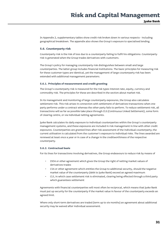In Appendix 2, supplementary tables show credit risk broken down in various respects - including geographical breakdown. The appendix also shows the Group's exposure to specialised lending.

### **5.6. Counterparty risk**

Counterparty risk is the risk of loss due to a counterparty failing to fulfil his obligations. Counterparty risk is generated when the Group trades derivatives with customers.

The Group's policy for managing counterparty risk distinguishes between small and large counterparties. The latter group includes financial institutions. The basic principles for measuring risk for these customer types are identical, yet the management of large counterparty risk has been extended with additional management parameters.

#### **5.6.1. Principles of measurement and credit granting**

The Group's counterparty risk is measured for the risk types interest-rate, equity, currency and commodity risk. The principles for these are described in the section about market risk.

In its management and monitoring of large counterparty exposures, the Group also calculates settlement risk. This risk arises in connection with settlement of derivatives transactions when one party performs under a contract whereas the other party fails to perform. To reduce settlement risk, all transactions will as far as possible take place through CLS (Continuous Linked Settlement), some form of clearing centre, or via individual netting agreements.

Jyske Bank calculates its daily exposure to individual counterparties within the Group's counterparty management systems, and these exposures are included in risk management in line with other credit exposures. Counterparties are granted lines after risk assessment of the individual counterparty; the current utilisation is calculated from the customer's exposure to individual risks. The lines awarded are reviewed at least once a year or in case of a change in the creditworthiness of the respective counterparty.

### **5.6.2. Contractual basis**

For its lines for transactions involving derivatives, the Group endeavours to reduce risk by means of

- *ISDA* or other agreement which gives the Group the right of netting market values of derivatives trades
- *CSA* or other agreement which entitles the Group to additional security, should the negative market value of the counterparty (debt to Jyske Bank) exceed an agreed maximum
- *CLS*, in which case settlement risk is eliminated, clearing being effected through a third party which guarantees settlement

Agreements with financial counterparties will most often be reciprocal, which means that Jyske Bank must put up security for the counterparty if the market value in favour of the counterparty exceeds an agreed limit.

Where only short-term derivatives are traded (term up to six months) an agreement about additional security may be waived after individual assessment.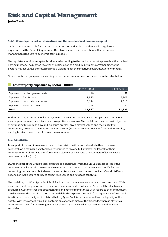#### **5.6.3. Counterparty risk on derivatives and the calculation of economic capital**

Capital must be set aside for counterparty risk on derivatives in accordance with regulatory requirements (the Capital Requirement Directive) as well as in connection with internal risk management (the Bank's economic capital model).

The regulatory minimum capital is calculated according to the mark-to-market approach with attached netting method. The method involves the calculation of a credit equivalent corresponding to the positive market values after netting plus a weighting for the underlying instrument or commodity.

Group counterparty exposure according to the mark-to-market method is shown in the table below.

## **Counterparty exposure by sector - DKKm**

|                                 | 31/12/2008 | 31/12/2007 |
|---------------------------------|------------|------------|
| Exposure to central governments | 46         | 52         |
| Exposure to institutions        | 7.973      | 8,701      |
| Exposure to corporate customers | 5,174      | 2,318      |
| Exposure to retail customers    | 744        | 250        |
| Total                           | 13,937     | 11.321     |

Within the Group's internal risk management, another and more nuanced setup is used. Derivatives are complex because their future cash flow profile is unknown. The model used has the basic objective of estimating future cash flow and exposure profiles, given market values and the volatility of counterparty products. The method is called the EPE (Expected Positive Exposure) method. Naturally, netting is taken into account in these measurements.

## **5.7. Collateral**

In support of the credit assessment and to limit risk, it will be considered whether to demand collateral. As a main rule, customers are required to provide full or partial collateral for their commitments. Collateral is therefore a main element of the Group's assessment of loss in case a customer defaults (LGD).

LGD is the part of the Group's total exposure to a customer which the Group expects to lose if the customer defaults within the next twelve months. A customer's LGD depends on specific factors concerning the customer, but also on the commitment and the collateral provided. Overall, LGD also depends on Jyske Bank's ability to collect receivables and liquidate collateral.

The modelling of LGD at Jyske Bank is divided into two main areas: secured and unsecured debt. With unsecured debt the proportion of a customer's unsecured debt which the Group will be able to collect is estimated. Customer-specific circumstances and other circumstances with regard to the commitment are decisive for the size of LGD. With secured debt the expected proceeds from liquidation of collateral is estimated. Here the type of collateral held by Jyske Bank is decisive as well as the liquidity of the assets. With rare assets Jyske Bank obtains an expert estimate of the proceeds, whereas statistical estimates are used for more frequent asset classes such as vehicles, real property and financial securities.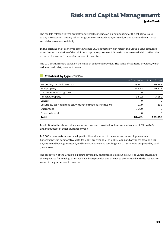The models relating to real property and vehicles include on-going updating of the collateral value taking into account, among other things, market-related changes in value, and wear and tear. Listed securities are measured daily.

In the calculation of economic capital we use LGD estimates which reflect the Group's long-term loss rates. In the calculation of the minimum capital requirement LGD estimates are used which reflect the expected loss rates in case of an economic downturn.

The LGD estimates are based on the value of collateral provided. The value of collateral provided, which reduces credit risk, is set out below.

### **Collateral by type - DKKm**

| <b>Total</b>                                                     | 84,481     | 103,756    |
|------------------------------------------------------------------|------------|------------|
| Other collateral                                                 |            | 0          |
| Guarantees                                                       | 7,350      | $\Omega$   |
| Securities, cash balances etc. with other financial institutions | 179        | 156        |
| Leases                                                           | 0          | $\Omega$   |
| Personal property                                                | 3,592      | 3,389      |
| Instruments of assignment                                        |            | $\Omega$   |
| Real property                                                    | 37,433     | 49,823     |
| Securities, cash balances etc.                                   | 35,927     | 50,388     |
|                                                                  | 31/12/2008 | 31/12/2007 |

In addition to the above values, collateral has been provided for loans and advances of DKK 4,047m under a number of other guarantee types.

In 2008 a new system was developed for the calculation of the collateral value of guarantees. Consequently no comparative data for 2007 are available. In 2007, loans and advances totalling DKK 35,463m had been guaranteed, and loans and advances totalling DKK 2,188m were supported by bank guarantees.

The proportion of the Group's exposure covered by guarantees is set out below. The values stated are the exposures for which guarantees have been provided and are not to be confused with the realisation value of the guarantees in question.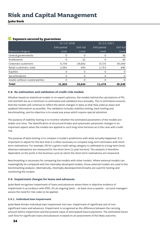## **Jyske Bank**

### **Exposure secured by guarantees**

|                               | 31/12/2008  |                 | 31/12/2007  |                 |
|-------------------------------|-------------|-----------------|-------------|-----------------|
|                               | EAD partial | <b>EAD</b> full | EAD partial | <b>EAD</b> full |
| Exposure category             | cover       | cover           | cover       | cover           |
| Central governments           | 0           | 0               | O           | 30              |
| Institutions                  | O           | 11              |             | 16              |
| Corporate customers           | 9,739       | 28,882          | 9,725       | 30,004          |
| Retail customers, total       | 2,081       | 950             | 1,753       | 895             |
| Equities                      | O           | O               | റ           | $\Omega$        |
| Securitisations               | $\Omega$    | O               | Ω           | $\Omega$        |
| Assets without counterparties | Ω           | O               | ი           | 0               |
| <b>Total</b>                  | 11,820      | 29,843          | 11,478      | 30,945          |

## **5.8. Re-estimation and validation of credit-risk models**

Whether based on statistical models or on expert opinions, the models behind the calculations of PD, LGD and EAD are as a minimum re-estimated and validated once annually. The re-estimation ensures that the models will continue to reflect the latest changes in data so that they yield as exact and updated information as possible. The validation includes stability testing, back-testing and benchmarking, and its objective is to reveal any areas which require special attention.

The purpose of stability testing is to monitor whether the estimated parameters of the models are stable over time. The identification of structural breaks and systematic parameter changes is an important aspect when the models are applied to such long-time horizons as is the case with credit risk.

The purpose of back-testing is to compare a model's predictions with what actually happened. It is important to adjust for the fact that it is often necessary to compare long-term estimates with shortterm realisations. For example, PD for a given credit rating category is calibrated to a long-term level, whereas realisations are measured for the short term (1-year horizon). The analysis is therefore dependent on the point in the business cycle at which the short-term realisations are measured.

Benchmarking is necessary for comparing the models with other models. Where external models can meaningfully be compared with the internally-developed models, those external models are used in the benchmarking analysis. Alternatively, internally-developed benchmarks are used for testing and monitoring the models.

### **5.9. Impairment charges for loans and advances**

Jyske Bank recognises impairment of loans and advances where there is objective evidence of impairment in accordance with IFRS. On an ongoing basis – at least once a quarter - account managers assess the need for risk codes to be applied.

#### **5.9.1. Individual loan impairment**

Jyske Bank divides individual loan impairment into two: impairment of significant and of nonsignificant loans and advances. Impairment is recognised as the difference between the carrying amount before impairment and the present value of anticipated future payments. The estimated future cash flow for significant loans and advances is based on an assessment of the likely outcome.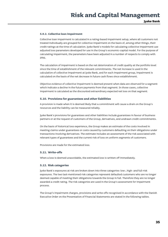#### **5.9.2. Collective loan impairment**

Collective loan impairment is calculated in a rating-based impairment setup, where all customers not treated individually are grouped for collective impairment on the basis of, among other things, their credit ratings at the time of calculation. Jyske Bank's models for calculating collective impairment use adjusted loss parameters developed for use in the Group's economic-capital model. For the purpose of calculating impairment, the parameters have been adjusted in a number of respects to comply with IFRS.

The calculation of impairment is based on the net deterioration of credit quality at the portfolio level since the time of establishment of the relevant commitments. The net increase is used in the calculation of collective impairment at Jyske Bank, and for each impairment group, impairment is calculated on the basis of the net decrease in future cash flows since establishment.

Objective evidence of collective impairment is deemed present when data are observed for a segment which indicate a decline in the future payments from that segment. In those cases, collective impairment is calculated as the discounted extraordinary expected net loss on that segment.

#### **5.10. Provisions for guarantees and other liabilities**

A provision is made when it is deemed likely that a commitment will cause a drain on the Group's resources and the liability can be measured reliably.

Jyske Bank's provisions for guarantees and other liabilities include guarantees in favour of business partners or at the request of customers of the Group, derivatives, and undrawn credit commitments.

On the basis of historical loss experience, the Group makes an estimate of the costs involved in meeting claims under guarantees or costs caused by customers defaulting on their obligations under transactions involving derivatives. The estimate includes an assessment of the risk associated with relevant types of guarantees and the current risk of loss on uniform segments of customers.

Provisions are made for the estimated loss.

#### **5.11. Write-offs**

When a loss is deemed unavoidable, the estimated loss is written off immediately.

#### **5.12. Risk categories**

Jyske Bank's exposures at risk are broken down into three categories: low-, high- and full-risk exposures. The two last-mentioned risk categories represent defaulted customers who are no longer deemed capable of meeting their obligations towards the Group in full. Therefore they are no longer awarded a credit rating. The risk categories are used in the Group's assessment for impairment process.

The Group's impairment charges, provisions and write-offs recognised in accordance with the Danish Executive Order on the Presentation of Financial Statements are stated in the following tables.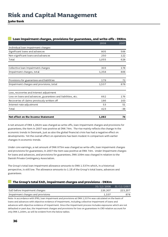## **Jyske Bank**

| Loan impairment charges, provisions for guarantees, and write-offs - DKKm |       |       |
|---------------------------------------------------------------------------|-------|-------|
|                                                                           | 2008  | 2007  |
| Individual loan impairment charges                                        |       |       |
| Significant loans and advances                                            | 805   | 506   |
| Non-significant loans and advances                                        | 250   | 122   |
| Total                                                                     | 1,055 | 628   |
| Collective loan impairment charges                                        | 303   | 178   |
| Impairment charges, total                                                 | 1,358 | 806   |
| Provisions for guarantees and liabilities                                 | 179   | 72    |
| Impairment charges and provisions, total                                  | 1,537 | 878   |
| Loss, recoveries and interest adjustment                                  |       |       |
| Loss on loans and advances, guarantees and liabilities, etc.              | 662   | 176   |
| Recoveries of claims previously written off                               | 186   | 163   |
| Interest-rate adjustment                                                  | 53    | 51    |
| Total                                                                     | 423   | $-38$ |
| Net effect on the Income Statement                                        | 1,082 | 74    |

A net amount of DKK 1,082m was charged as write-offs, loan impairment charges and provisions for guarantees; the item in 2007 was positive at DKK 74m. The rise mainly reflects the change in the economic trends in Denmark, just as also the global financial crisis has had a negative effect on developments. Yet the overall effect on operations has been modest in comparison with earlier changes in economic trends.

Under core earnings, a net amount of DKK 975m was charged as write-offs, loan impairment charges and provisions for guarantees; in 2007 the item was positive at DKK 74m. Under Impairment charges for loans and advances, and provisions for guarantees, DKK 109m was charged in relation to the Danish Private Contingency Association.

The Group's total loan impairment allowance amounts to DKK 1.537m which, in a historical perspective, is still low. The allowance amounts to 1.1% of the Group's total loans, advances and guarantees.

## **The Group's total EAD, impairment charges and provisions - DKKm**

|                                   | 31/12/2008 | 31/12/2007 |
|-----------------------------------|------------|------------|
| EaD before impairment charges     | 226,307    | 223,207    |
| Impairment charges and provisions | 1.537      | 878        |

Note: in accordance with IFRS, loan impairment and provisions at DKK 1,537m was calculated on the basis of loans and advances with objective evidence of impairment, including collective impairment of loans and advances with objective evidence of impairment. Since the impairment process includes exposures which are not defaulted or past due, the impairment charges and provisions for loss on guarantees in CRD relation account for only DKK 1,169m, as will be evident from the below tables.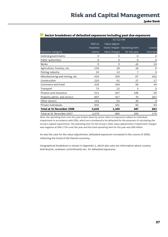|                                | 31/12/08 |               |                             |              |
|--------------------------------|----------|---------------|-----------------------------|--------------|
|                                | EAD on   | Value adjust- |                             |              |
|                                | impaired |               | ment/impair- Operating item | Losses       |
| Exposure category              | claims   | ment charges  | for the year                | recorded     |
| Central governments            | O        | $\circ$       | O                           | $\circ$      |
| Public authorities             | $\circ$  | $\Omega$      | 0                           | $\circ$      |
| Banks                          | $\Omega$ | $\circ$       | 42                          | 24           |
| Agriculture, forestry, etc     | 130      | 29            | 18                          | 6            |
| Fishing industry               | 33       | 13            | 7                           | $\mathsf{O}$ |
| Manufacturing and mining, etc. | 416      | 156           | 67                          | 162          |
| Construction                   | 210      | 61            | 27                          | 17           |
| Commerce and hotel             | 428      | 169           | 58                          | 49           |
| Transport                      | 73       | 22            | 3                           | $\circ$      |
| Finance and insurance          | 511      | 167           | 106                         | 35           |
| Property admin. and service    | 897      | 317           | 70                          | 267          |
| Other sectors                  | 142      | 54            | 39                          | 9            |
| Private individuals            | 805      | 181           | 50                          | 93           |
| Total at 31 December 2008      | 3,645    | 1,169         | 487                         | 662          |
| Total at 31 December 2007      | 2,379    | 685           | 265                         | 176          |

### **Sector breakdown of defaulted exposures including past due exposures**

Note: the operating item over the year broken down by sector refers to exposures subject to individual impairment in accordance with IFRS, which are considered to be defaulted for the purposes of calculating the Group's capital requirement. The operating item for the Group's other value adjustments/impairment charges was negative at DKK 173m over the year and the total operating item for the year was DKK 660m.

As was the case for the value adjustment, defaulted exposures increased in the course of 2008, reflecting the trend of the Danish economy.

Geographical breakdown is shown in Appendix 2, which also sets out information about country distribution, undrawn commitments etc. for defaulted exposures.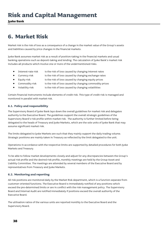**Jyske Bank** 

## **6. Market Risk**

Market risk is the risk of loss as a consequence of a change in the market value of the Group's assets and liabilities caused by price changes in the financial markets.

Jyske Bank assumes market risk as a result of position-taking in the financial markets and usual banking operations such as deposit-taking and lending. The calculation of Jyske Bank's market risk includes all products which involve one or more of the undermentioned risks.

- Interest-rate risk is the risk of loss caused by changing interest rates
- Currency risk is the risk of loss caused by changing exchange rates
- Equity risk is the risk of loss caused by changing equity prices
- Commodity risk is the risk of loss caused by changing commodity prices
- Volatility risk is the risk of loss caused by changing volatilities

Certain financial instruments include elements of credit risk. This type of credit risk is managed and monitored in parallel with market risk.

### **6.1. Policy and responsibility**

The Supervisory Board of Jyske Bank lays down the overall guidelines for market risk and delegates authority to the Executive Board. The guidelines support the overall strategic guidelines of the Supervisory Board's risk profile within market risk. The authority is further limited before being delegated to the heads of Treasury and Jyske Markets, which are the sole units of Jyske Bank that may assume significant market risk.

The limits delegated to Jyske Markets are such that they mainly support the daily trading volume. Strategic positions are mainly taken in Treasury as reflected by the limit delegated to the unit.

Operations in accordance with the respective limits are supported by detailed procedures for both Jyske Markets and Treasury.

To be able to follow market developments closely and adjust for any discrepancies between the Group's actual risk profile and the desired risk profile, monthly meetings are held by the Group Asset and Liability Committee. The meetings are attended by several members of the Executive Board and by representatives from Treasury and Jyske Markets.

### **6.2. Monitoring and reporting**

All risk positions are monitored daily by the Market Risk department, which is a function separate from customer-oriented functions. The Executive Board is immediately notified of any positions which exceed the pre-determined limits or are in conflict with the risk management policy. The Supervisory Board and Internal Audit are notified immediately if positions exceed the overall authority of the Executive Board.

The utilisation ratios of the various units are reported monthly to the Executive Board and the Supervisory Board.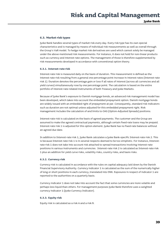#### **6.3. Market risk types**

Jyske Bank handles several types of market risk every day. Every risk type has its own special characteristics and is managed by means of individual risk measurements as well as overall through the Group's VaR model. To hedge market risk derivatives are used which cannot solely be managed under the above-mentioned risk measurements. For instance, it does not hold for non-linear products such as currency and interest-rate options. The management of those is therefore supplemented by risk measurements developed in accordance with conventional option theory.

#### **6.3.1. Interest-rate risk**

Interest-rate risk is measured daily on the basis of duration. This measurement is defined as the interest-rate risk resulting from a general one percentage point increase in interest rates (Interest-rate risk 1). Duration denotes the percentage gain or loss if all rates of interest (across all currencies and all yield curves) simultaneously rose by one percentage point. The calculation is based on the entire portfolio of interest-rate-related instruments of both Treasury and Jyske Markets.

Because of Jyske Bank's exposure to Danish mortgage bonds, an advanced risk management model has been developed, which takes into account the embedded prepayment option. Danish mortgage bonds are widely issued with an embedded right of prepayment at par. Consequently, standard risk indicators such as duration are not optimal unless adjusted for this embedded prepayment right. Risk management includes the calculation of and limits to OAS (Option-Adjusted Spreads) positions.

Interest-rate risk is calculated on the basis of agreed payments. The customer and the Group are assumed to make the agreed contractual payments, although certain fixed-rate loans may be prepaid. Interest-rate risk 1 is adjusted for this option element. Jyske Bank has no fixed-rate balances without an agreed due date.

In addition to Interest-rate risk 1, Jyske Bank calculates a Jyske Bank-specific Interest-rate risk 2. This is because Interest-rate risk 1 is in several respects deemed to be too simplistic. For instance, Interestrate risk 1 does not take into account risk attached to spread transactions involving interest-rate positions in various instruments and currencies. Interest-rate risk 2 is calculated as Interest-rate risk 1 plus an addition for yield curve risks, volatility risks, country risks, and basis risks.

#### **6.3.2. Currency risk**

Currency risk is calculated in accordance with the rules on capital adequacy laid down by the Danish Financial Supervisory Authority. Currency indicator 1 is calculated as the sum of the numerically higher of long or short positions in each currency, translated into DKK. Exposures in respect of indicator 1 are reported to the authorities on a quarterly basis.

Currency indicator 1 does not take into account the fact that some currencies are more volatile and perhaps less liquid than others. For management purposes Jyske Bank therefore uses a weighted currency indicator 1 (Jyske Currency Indicator).

#### **6.3.3. Equity risk**

Equity risk is calculated as a risk A and a risk B.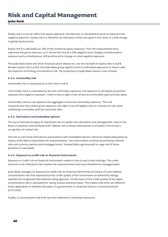**Jyske Bank** 

Equity risk A is put at 10% of net equity exposure; net exposure is calculated as positive exposure less negative exposure. Equity risk A is therefore an indication of the loss/gain in the event of a 10% change in global equity prices.

Equity risk B is calculated as 10% of the numerical equity exposure. This risk measurement thus expresses the gross exposure, as it shows the loss at a 10% negative price change on total positive exposure and a simultaneous 10% positive price change on total negative exposure.

The Jyske Bank share and other financial sector shares etc. are not included in equity risks A and B. Besides equity risk A and B, the Jyske Bank group applies limits to individual exposures to shares with the objective of limiting concentration risk. The proportion of Jyske Bank shares is also limited.

### **6.3.4. Commodity risk**

Commodity risk is calculated as a risk A and a risk B.

Commodity risk A is calculated as the net commodity exposure; net exposure is calculated as positive exposure less negative exposure. There is thus a right of set-off across commodity types and due dates.

Commodity risk B is calculated as the aggregate numerical commodity exposure. This risk measurement thus states gross exposure; the right of set-off applies only to contracts for the same underlying commodity with the same due date.

### **6.3.5. Derivatives and embedded options**

The use of derivatives plays an important role in market risk calculation and management, both to the Bank's customers and the Bank itself. Market risk on these instruments is included in the Group's recognition of market risk.

The risk on non-linear derivatives and products with embedded options cannot be stated adequately by means of the above-mentioned risk measurements - the instruments involved are primarily interestrate and currency options and mortgage bonds. Instead delta, gamma and/or vega risk of those positions is calculated.

### **6.3.6. Exposure to credit risk on financial instruments**

Exposure to credit risk on financial instruments relates to the Group's bond holdings. The credit element is not reflected in the market risk measurements and must therefore be managed apart.

Jyske Bank manages its exposure to credit risk on financial instruments by means of a pre-defined concentration risk limit expressed as the credit quality of the instruments as defined by ratings awarded by recognised international rating agencies. On the basis of the credit quality of the paper, concentration risk is calculated for rating classes and bond types. This means that there are different limits dependent on whether the paper is a government or corporate bond or a structured bond (CLO/CDO).

Finally, a concentration risk limit has been defined for individual exposures.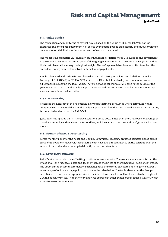#### **6.4. Value at Risk**

The calculation and monitoring of market risk is based on the Value-at-Risk model. Value at Risk expresses the anticipated maximum risk of loss over a period based on historical price and correlation developments. Risk limits for VaR have been defined and delegated.

The model is a parametric VaR based on an enhanced Risk Metrics model. Volatilities and covariances in the model are estimated on the basis of data going back six months. The data are weighted so that the latest observations carry the highest weight. The VaR approach has been modified to reflect the embedded prepayment risk involved in Danish mortgage bonds.

VaR is calculated with a time frame of one day, and with 99% probability, and is defined as Daily Earnings at Risk (DEaR). A DEaR of 99% indicates a 1% probability of a day's actual market value adjustments exceeding the DEaR value. There is a statistical chance of 2-3 days in the course of the year when the Group's market value adjustments exceed the DEaR estimated by the VaR model. Such an occurrence is termed an outlier.

#### **6.4.1. Back-testing**

To assess the accuracy of the VaR model, daily back-testing is conducted where estimated VaR is compared with the actual daily market value adjustment of market risk-related positions. Back-testing is conducted and reported for 99% DEaR.

Jyske Bank has applied VaR in its risk calculations since 2001. Since then there has been an average of 2 outliers annually within a band of 1-3 outliers, which substantiates the validity of Jyske Bank's VaR model.

#### **6.5. Scenario-based stress-testing**

For its monthly paper for the Asset and Liability Committee, Treasury prepares scenario-based stress tests of its positions. However, these tests do not have any direct influence on the calculation of the economic capital and are not applied directly in the limit structure.

#### **6.6. Sensitivity analyses**

Jyske Bank extensively holds offsetting positions across markets. The worst-case scenario is that the prices of all long (positive) positions decline whereas the prices of short (negative) positions increase. The effect on the Income Statement of such a negative price trend, calculated at a negative interestrate change of 0.5 percentage point, is shown in the table below. The table also shows the Group's sensitivity to a one percentage point rise in the interest-rate level as well as its sensitivity to a global 10% fall in equity prices. The sensitivity analyses express an other-things-being-equal situation, which is unlikely to occur in reality.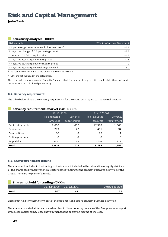**Jyske Bank** 

## **Sensitivity analyses - DKKm**

| Risk variable                                       | Effect on Income Statement |
|-----------------------------------------------------|----------------------------|
| A 1 percentage point increase in interest rates $*$ | $-155$                     |
| A negative change of 0.5 percentage point           | $-135$                     |
| A general 10% fall in equity prices                 | $-116$                     |
| A negative 5% change in equity prices               | $-26$                      |
| A negative 5% change in commodity prices            | $-2$                       |
| A negative 5% change in exchange rates**            | -60                        |

\*The scenario corresponds to the Group's 'Interest-rate risk 1'

\*\*EUR are not included in the calculation

This is a mild stress scenario. "Negative" means that the prices of long positions fall, while those of short positions rise. All calculated per currency.

### **6.7. Solvency requirement**

The table below shows the solvency requirement for the Group with regard to market-risk positions.

Solvency

#### **Solvency requirement, market risk - DKKm**  Risk-adjusted amounts Solvency requirement Risk-adjusted amounts requirement Debt instruments 7,650 612 12,503 1,000 Equities, etc. 279 22 431 34 Commodities 80 6 92 7 31-12-2008 31/12/2007

## **6.8. Shares not held for trading**

The shares not included in the trading portfolio are not included in the calculation of equity risk A and B. The shares are primarily financial-sector shares relating to the ordinary operating activities of the Group. There are no plans of a resale.

Option premium 0 0 0 0 FX position 1,020 82 2,709 217 **Total 9,029 722 15,735 1,259** 

| <b>Shares not held for trading - DKKm</b> |            |            |                 |  |
|-------------------------------------------|------------|------------|-----------------|--|
|                                           | 31/12/2008 | 31/12/2007 | Unrealised gain |  |
| Total                                     | 507        | 481        |                 |  |

Shares not held for trading form part of the basis for Jyske Bank's ordinary business activities.

The shares are stated at fair value as described in the accounting policies of the Group's annual report. Unrealised capital gains/losses have influenced the operating income of the year.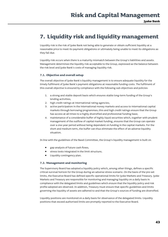## **7. Liquidity risk and liquidity management**

Liquidity risk is the risk of Jyske Bank not being able to generate or obtain sufficient liquidity at a reasonable price to meet its payment obligations or ultimately being unable to meet its obligations as they fall due.

Liquidity risk occurs when there is a maturity mismatch between the Group's liabilities and assets. Management determines the liquidity risk acceptable to the Group, expressed as the balance between the risk level and Jyske Bank's costs of managing liquidity risk.

### **7.1. Objective and overall setup**

The overall objective of Jyske Bank's liquidity management is to ensure adequate liquidity for the timely fulfilment of Jyske Bank's payment obligations at reasonable funding costs. The fulfilment of this overall objective is ensured by compliance with the following sub-objectives and policies:

- 1. a strong and stable deposit basis which ensures stable long-term funding of the Group's lending activities;
- 2. high credit ratings at international rating agencies;
- 3. active participation in the international money markets and access to international capital markets through borrowing programmes; this and high credit ratings ensure that the Group has access at all times to a highly diversified and professional funding base;
- 4. maintenance of a considerable buffer of highly liquid securities which, together with prudent management of the outflow of capital market funding, ensures that the Group can operate over a one-year period without being dependent on funding in the capital markets. For the short and medium term, the buffer can thus eliminate the effect of an adverse liquidity situation.

In line with the guidelines of the Basel Committee, the Group's liquidity management is built on

- gap analysis of future cash flows;
- stress tests integrated in the limit structure;
- Liquidity contingency plan.

### **7.2. Management and monitoring**

The Supervisory Board has adopted a liquidity policy which, among other things, defines a specific critical survival horizon for the Group during an adverse stress scenario. On the basis of the pre-set limits, the Executive Board has defined specific operational limits for Jyske Markets and Treasury. Jyske Markets and Treasury are responsible for monitoring and managing liquidity on a daily basis in compliance with the delegated limits and guidelines which ensure that the liquidity policy and risk profile adopted are observed. In addition, Treasury must ensure that specific guidelines and limits governing the liquidity of assets are adhered to and that the Group's sources of funding are diversified.

Liquidity positions are monitored on a daily basis for observance of the delegated limits. Liquidity positions that exceed authorised limits are promptly reported to the Executive Board.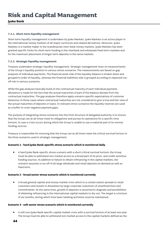**Jyske Bank** 

### **7.2.1. Short-term liquidity management**

Short-term liquidity management is undertaken by Jyske Markets. Jyske Markets is an active player in the international money markets of all major currencies and related derivatives. Moreover, Jyske Markets is a market-maker in the Scandinavian inter-bank money markets. Jyske Markets has been granted specific limits for short-term funding in the interbank and wholesale fixed-term markets and for the maximum placement of longer-term deposits in the same markets.

### **7.2.2. Strategic liquidity management**

Treasury undertakes strategic liquidity management. Strategic management rests on measurements of the Group's liquidity position in various stress scenarios. The measurements are based on gap analyses of individual payments. The financial asset side of the liquidity balance is broken down and grouped in order of liquidity, whereas the financial liabilities side is grouped according to expected runoff risk in various scenarios.

While the gap analyses basically build on the contractual maturity of each individual payment, allowance is made for the fact that the actual maturities of part of the balance deviate from the contractual maturities. The gap analyses therefore apply scenario-specific expectations of customer behaviour in those cases where contractual maturities are not considered to give a true and fair view of the actual maturities of deposits or loans. In relevant stress scenarios the liquidity reserves are used as a buffer to cover negative payment gaps.

The purpose of integrating stress scenarios into the limit structure of delegated authority is to ensure that the Group can at all times meet its obligations and pursue its operations for a specific time horizon, in case a crisis occurs during which the Group is unable to use a material part of its normal funding sources.

Treasury is responsible for ensuring that the Group can at all times meet the critical survival horizon in the three scenarios used in strategic management.

### **Scenario 1 - hard Jyske Bank-specific stress scenario which is monitored daily**

• A hard Jyske Bank-specific stress scenario with a short critical survival horizon: the Group must be able to withstand non-market access to a broad part of its price- and credit-sensitive funding sources. In addition to failure to obtain refinancing in the capital markets, the scenario assumes a run-off of all large wholesale and retail deposits on demand as well as fixed term.

### **Scenario 2 - broad sector stress scenario which is monitored currently**

• A broad general capital and money-market crisis which to a certain extent spreads to retail customers and results in drawdown by large corporate customers of unutilised lines and commitments. At the same time, growth in deposits is assumed to stagnate and possibilities of obtaining refinancing in the international capital markets to dry out. The target is a horizon of six months, during which time basic banking activities must be maintained.

### **Scenario 3 - soft sector stress scenario which is monitored currently**

• A soft non-Jyske Bank-specific capital market crisis with a survival horizon of at least one year. The Group must be able to withstand non-market access to the capital markets defined as the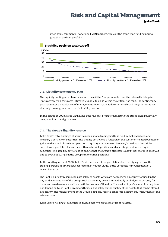inter-bank, commercial paper and EMTN markets, while at the same time funding normal growth of the loan portfolio.



#### **7.3. Liquidity contingency plan**

The liquidity contingency plan comes into force if the Group can only meet the internally delegated limits at very high costs or is ultimately unable to do so within the critical horizons. The contingency plan stipulates a detailed set of management reports, and it determines a broad range of initiatives that might strengthen the Group's liquidity position.

In the course of 2008, Jyske Bank at no time had any difficulty in meeting the stress-based internally delegated limits and guidelines.

### **7.4. The Group's liquidity reserve**

Jyske Bank's total holdings of securities consist of a trading portfolio held by Jyske Markets, and Treasury's portfolio of securities. The trading portfolio is a function of the customer-related business of Jyske Markets and ultra-short operational liquidity management. Treasury's holding of securities consists of a portfolio of securities with market risk positions and a strategic portfolio of liquid securities. The liquidity portfolio is to ensure that the Group's strategic liquidity risk profile is observed and to even out swings in the Group's market risk positions.

In the fourth quarter of 2008, Jyske Bank made use of the possibility of re-classifying parts of the trading portfolio at amortised cost instead of market value, cf the Corporate Announcement of 3 November 2008.

The Bank's liquidity reserve consists solely of assets which are not pledged as security or used in the day-to-day operations of the Group. Such assets may be sold immediately or pledged as security for loans and are therefore a swift and efficient source of liquidity. The availability of secured funding does not depend on Jyske Bank's creditworthiness, but solely on the quality of the assets that can be offered as security. The measurement of the Group's liquidity reserve takes into account any impairment of the relevant assets.

Jyske Bank's holding of securities is divided into five groups in order of liquidity: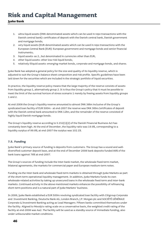## **Jyske Bank**

- 1. ultra-liquid assets (DKK-denominated assets which can be used in repo transactions with the Danish central bank): certificates of deposit with the Danish central bank, Danish government and mortgage bonds;
- 2. very liquid assets (EUR-denominated assets which can be used in repo transactions with the European Central Bank (EUR): European government and mortgage bonds and senior financial instruments;
- 3. liquid assets: as 2., but denominated in currencies other than EUR;
- 4. other liquid assets: other low-risk liquid bonds;
- 5. relatively illiquid assets: emerging-market bonds, corporate and mortgage bonds, and shares.

Jyske Bank has adopted a general policy for the size and quality of its liquidity reserve, which is adjusted to suit the Group's balance sheet composition and risk profile. Specific guidelines have been laid down for the securities which are included in the strategic portfolio of liquid securities.

In practice, the liquidity reserve policy means that the large majority of the reserve consists of assets from liquidity group 1, alternatively group 2. It is thus the Group's policy that it must be possible to meet the limit of the survival horizon of stress scenario 1 merely by freeing assets from liquidity groups 1 and 2.

At end-2008 the Group's liquidity reserve amounted to almost DKK 38bn inclusive of the Group's syndicated loan facility of EUR 500m - at end-2007 the reserve was DKK 36bn.Certificates of deposit with the Danish central bank amounted to DKK 12bn; and the remainder of the reserve consisted of highly liquid Danish mortgage bonds.

The Group's liquidity reserve according to S.152(1)(2) of the Danish Financial Business Act has constantly been high. At the end of December, the liquidity ratio was 19.9%, corresponding to a liquidity surplus of 99.9%; at end-2007 the surplus was 102.1%.

### **7.5. Funding**

Jyske Bank's primary source of funding is deposits from customers. The Group has a sound and welldiversified customer deposit base, and at the end of December 2008 bank deposits funded 89% of the bank loans against 78% at end-2007.

The Group's sources of funding include the inter-bank market, the wholesale fixed-term market, bilateral agreements, the markets for commercial paper and European medium-term notes.

Funding via the inter-bank and wholesale fixed-term markets is obtained through Jyske Markets as part of the short-term operational liquidity management. In addition, Jyske Markets funds its own wholesale-related activities by taking up unsecured loans in the wholesale fixed-term and inter-bank markets. Continued activity in the above-mentioned markets enhances the possibility of refinancing short-term positions and is a natural part of Jyske Markets' business.

In 2006, Jyske Bank established a EUR 500m revolving syndicated loan facility with Citigroup Corporate and Investment Banking, Deutsche Bank AG, London Branch, J.P. Morgan plc and SOCIÉTÉ GÉNÉRALE Corporate & Investment Banking acting as Lead Managers. Fifteen banks committed themselves under the facility. Aligned to Moody\s rating scale on a conservative basis, the weighted credit rating of the facility at end-2008 was Aa2. The facility will be used as a standby source of immediate funding, also under unfavourable market conditions.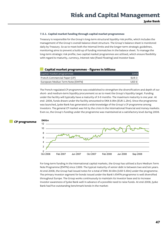#### **7.5.1. Capital market funding through capital market programmes**

Treasury is responsible for the Group's long-term structural liquidity risk profile, which includes the management of the Group's overall balance sheet structure. The Group's balance sheet is monitored daily by Treasury. So as to meet both the internal limits and the longer-term strategic guidelines, monitoring aims to prevent a build-up of funding mismatches in the balance sheet. To manage the long-term strategic risk profile, two capital market programmes are utilised, which ensure flexibility with regard to maturity, currency, interest rate (fixed/floating) and investor base.

#### **Capital market programmes - figures in billions**

| Capital market programmes        | Limit            |
|----------------------------------|------------------|
| French Commercial Paper (CP)     | FUR <sub>3</sub> |
| European Mediun Term Note (EMTN) | USD 8            |

The French-regulated CP programme was established to strengthen the diversification and depth of our short- and medium-term liquidity procurement so as to meet the Group's liquidity target. Funding under the facility will typically have a maturity of 3-6 months. The maximum maturity is one year. At end- 2008, funds drawn under the facility amounted to DKK 8.9bn (EUR 1.2bn). Since the programme was launched, Jyske Bank has generated a wide knowledge of the Group's CP programme among investors. The general CP market was hit by the crisis in the international financial and money markets. Even so, the Group's funding under the programme was maintained at a satisfactory level during 2008.



For long-term funding in the international capital markets, the Group has utilised a Euro Medium Term Note Programme (EMTN) since 1999. The typical maturity of senior debt is between two and ten years. At end-2008, the Group had issued notes for a total of DKK 30.6bn (USD 5.6bn) under the programme. The primary investor segment for bonds issued under the Bank's EMTN programme is well diversified throughout Europe. The Group works continuously to maintain its investor base and to increase investor awareness of Jyske Bank well in advance of a possible need to raise funds. At end-2008, Jyske Bank had five outstanding benchmark bonds in the market: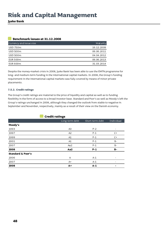**Jyske Bank** 

## **Benchmark issues at 31.12.2008**

| Currency and issue size | Maturity   |
|-------------------------|------------|
| USD 750m                | 16.12.2009 |
| <b>USD 500m</b>         | 06.06.2011 |
| <b>USD 500m</b>         | 04.04.2012 |
| <b>EUR 500m</b>         | 06.06.2013 |
| EUR 600m                | 31.03.2014 |

Despite the money-market crisis in 2008, Jyske Bank has been able to use the EMTN programme for long- and medium-term funding in the international capital markets. In 2008, the Group's funding requirement in the international capital markets was fully covered by means of minor private placements.

### **7.5.2. Credit ratings**

The Group's credit ratings are material to the price of liquidity and capital as well as to funding flexibility in the form of access to a broad investor base. Standard and Poor's as well as Moody's left the Group's ratings unchanged in 2008, although they changed the outlook from stable to negative in September and November, respectively, mainly as a result of their view on the Danish economy.

| <b>Credit ratings</b>        |                |                 |            |  |  |  |
|------------------------------|----------------|-----------------|------------|--|--|--|
|                              | Long-term debt | Short-term debt | Individual |  |  |  |
| Moody's                      |                |                 |            |  |  |  |
| 1993                         | A3             | $P - 2$         |            |  |  |  |
| 1997                         | A <sub>2</sub> | $P-1$           | $C+$       |  |  |  |
| 1999                         | A1             | $P-1$           | $C+$       |  |  |  |
| 2001                         | A1             | $P-1$           | $B -$      |  |  |  |
| 2007                         | Aa2            | $P-1$           | $B -$      |  |  |  |
| 2008                         | Aa2            | $P-1$           | B-         |  |  |  |
| <b>Standard &amp; Poor's</b> |                |                 |            |  |  |  |
| 2006                         | A              | $A-1$           |            |  |  |  |
| 2007                         | $A+$           | $A-1$           |            |  |  |  |
| 2008                         | $A +$          | $A-1$           | -          |  |  |  |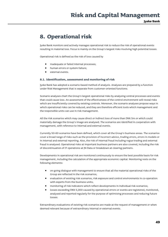## **8. Operational risk**

Jyske Bank monitors and actively manages operational risk to reduce the risk of operational events resulting in material loss. Focus is mainly on the Group's largest risks involving high potential losses.

Operational risk is defined as the risk of loss caused by

- inadequate or failed internal processes;
- human errors or system failure;
- external events.

#### **8.1. Identification, assessment and monitoring of risk**

Jyske Bank has adopted a scenario-based method of analysis. Analyses are prepared by a function under Risk Management that is separate from customer-oriented functions.

Scenario analyses chart the Group's largest operational risks by analysing central processes and events that could cause loss. An assessment of the effectiveness of the control environment will reveal risks which are insufficiently covered by existing controls. Moreover, the scenario analyses propose ways in which operational risks can be reduced, and they are therefore efficient tools which management and the responsible units can use in risk management.

All the risk scenarios which may cause direct or indirect loss of more than DKK 5m or which could materially damage the Group's image are analysed. The scenarios are identified in cooperation with management, with reference to internal and external events.

Currently 50-60 scenarios have been defined, which cover all the Group's business areas. The scenarios cover a broad range of risks such as the provision of incorrect advice, trading errors, errors in models or in internal and external reporting. Also, the risk of internal fraud including rogue trading and external fraud is analysed. Operational risks at important business partners are also covered, including the risk of discontinuation of IT operations at JN Data or breakdown at clearing partners.

Developments in operational risk are monitored continuously to ensure the best possible basis for risk management, including the calculation of the appropriate economic capital. Monitoring rests on the following elements:

- on-going dialogue with management to ensure that all the material operational risks of the Group are reflected in the risk scenarios;
- evaluation of existing risk scenarios, risk exposure and control environments in co-operation with experts from the business units;
- monitoring of risk indicators which reflect developments in individual risk scenarios;
- losses exceeding DKK 5,000 caused by operational errors or events are registered, monitored, analysed and reported regularly for the purpose of optimising processes and reducing future losses.

Extraordinary evaluations of existing risk scenarios are made at the request of management or when deemed relevant because of extraordinary internal or external events.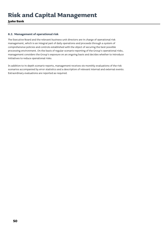**Jyske Bank** 

### **8.2. Management of operational risk**

The Executive Board and the relevant business unit directors are in charge of operational risk management, which is an integral part of daily operations and proceeds through a system of comprehensive policies and controls established with the object of securing the best possible processing environment. On the basis of regular scenario reporting of the Group's operational risks, management considers the Group's exposure on an ongoing basis and decides whether to introduce initiatives to reduce operational risks.

In addition to in-depth scenario reports, management receives six-monthly evaluations of the risk scenarios accompanied by error statistics and a description of relevant internal and external events. Extraordinary evaluations are reported as required.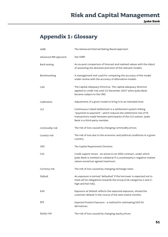**Jyske Bank** 

## **Appendix 1: Glossary**

| AIRB                  | The Advanced Internal Rating Based approach.                                                                                                                                                                                     |
|-----------------------|----------------------------------------------------------------------------------------------------------------------------------------------------------------------------------------------------------------------------------|
| Advanced IRB approach | See AIRB.                                                                                                                                                                                                                        |
| Back-testing          | An ex-post comparison of forecast and realised values with the object<br>of assessing the absolute precision of the relevant models.                                                                                             |
| Benchmarking          | A management tool used for comparing the accuracy of the model<br>under review with the accuracy of alternative models.                                                                                                          |
| CAD                   | The Capital Adequacy Directive. The capital adequacy directive<br>applied to credit risk until 31 December 2007 when Jyske Bank<br>became subject to the CRD.                                                                    |
| Calibration           | Adjustment of a given model to bring it to an intended level.                                                                                                                                                                    |
| <b>CLS</b>            | Continuous Linked Settlement is a settlement system linking<br>"payment to payment", which reduces the settlement risk of FX<br>transactions made between participants of the CLS system. Jyske<br>Bank is a third-party member. |
| Commodity risk        | The risk of loss caused by changing commodity prices.                                                                                                                                                                            |
| Country risk          | The risk of loss due to the economic and political conditions in a given<br>country.                                                                                                                                             |
| CRD                   | The Capital Requirement Directive.                                                                                                                                                                                               |
| <b>CSA</b>            | Credit support Annex - an annex to an ISDA contract, under which<br>Jyske Bank is entitled to collateral if a counterparty's negative market<br>values exceed an agreed maximum.                                                 |
| Currency risk         | The risk of loss caused by changing exchange rates.                                                                                                                                                                              |
| Default               | An exposure is termed 'defaulted' if the borrower is expected not to<br>meet all his obligations towards the Group (risk categories 2 and 3 -<br>high and full risk).                                                            |
| EAD                   | Exposure at Default reflects the expected exposure, should the<br>customer default in the course of the next twelve months.                                                                                                      |
| EPE                   | Expected Positive Exposure - a method for estimating EAD for<br>derivatives.                                                                                                                                                     |
| Equity risk           | The risk of loss caused by changing equity prices.                                                                                                                                                                               |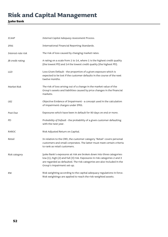## **Jyske Bank**

| <b>ICAAP</b>       | Internal Capital Adequacy Assessment Process.                                                                                                                                                                                                               |
|--------------------|-------------------------------------------------------------------------------------------------------------------------------------------------------------------------------------------------------------------------------------------------------------|
| IFRS               | International Financial Reporting Standards.                                                                                                                                                                                                                |
| Interest-rate risk | The risk of loss caused by changing market rates.                                                                                                                                                                                                           |
| JB credit rating   | A rating on a scale from 1 to 14, where 1 is the highest credit quality<br>(the lowest PD) and 14 the lowest credit quality (the highest PD).                                                                                                               |
| LGD                | Loss Given Default - the proportion of a given exposure which is<br>expected to be lost if the customer defaults in the course of the next<br>twelve months.                                                                                                |
| Market Risk        | The risk of loss arising out of a change in the market value of the<br>Group's assets and liabilities caused by price changes in the financial<br>markets.                                                                                                  |
| OEI                | Objective Evidence of Impairment - a concept used in the calculation<br>of impairment charges under IFRS.                                                                                                                                                   |
| Past Due           | Exposures which have been in default for 90 days on end or more.                                                                                                                                                                                            |
| PD                 | Probability of Default - the probability of a given customer defaulting<br>with the next year.                                                                                                                                                              |
| RAROC              | Risk Adjusted Return on Capital.                                                                                                                                                                                                                            |
| Retail             | In relation to the CRD, the customer category 'Retail' covers personal<br>customers and small corporates. The latter must meet certain criteria<br>to rank as retail customers.                                                                             |
| Risk category      | Jyske Bank's exposures at risk are broken down into three categories:<br>low (1), high (2) and full (3) risk. Exposures in risk categories 2 and 3<br>are regarded as defaulted. The risk categories are also included in the<br>Group's impairment set-up. |
| RW                 | Risk weighting according to the capital adequacy regulations in force.<br>Risk weightings are applied to reach the risk-weighted assets.                                                                                                                    |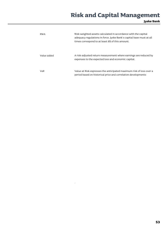**Jyske Bank** 

| <b>RWA</b>  | Risk-weighted assets calculated in accordance with the capital<br>adequacy regulations in force. Jyske Bank's capital base must at all<br>times correspond to at least 8% of this amount. |
|-------------|-------------------------------------------------------------------------------------------------------------------------------------------------------------------------------------------|
| Value added | A risk-adjusted return measurement where earnings are reduced by<br>expenses to the expected loss and economic capital.                                                                   |
| VaR         | Value at Risk expresses the anticipated maximum risk of loss over a<br>period based on historical price and correlation developments                                                      |

.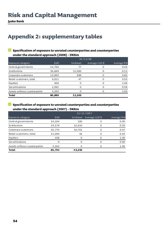## **Appendix 2: supplementary tables**

## **Specification of exposure to unrated counterparties and counterparties under the standard approach (2008) - DKKm**

|                              | 31/12/08   |         |               |            |  |
|------------------------------|------------|---------|---------------|------------|--|
| Exposure category            | <b>EAD</b> | Undrawn | Average LGD % | Average RW |  |
| Central governments          | 14,756     | 77      |               | 0.00       |  |
| Institutions                 | 36,849     | 11,083  |               | 0.12       |  |
| Corporate customers          | 13,993     | 996     |               | 0.80       |  |
| Retail customers, total      | 9,011      | 47      | ∩             | 0.55       |  |
| Equities                     | 458        |         | O             | 1.00       |  |
| Securitisations              | 2,592      |         |               | 0.58       |  |
| Assets without counterpartie | 3,330      |         |               | 1.00       |  |
| <b>Total</b>                 | 80,989     | 12,203  |               |            |  |

#### $\blacksquare$ **Specification of exposure to unrated counterparties and counterparties under the standard approach (2007) - DKKm**

|                               | 31/12/2007 |               |            |      |
|-------------------------------|------------|---------------|------------|------|
| Exposure category             | <b>EAD</b> | Average LGD % | Average RW |      |
| Central governments           | 24,164     | 180           |            | 0.00 |
| In stitu tions                | 19,178     | 12,410        |            | 0.19 |
| Corporate customers           | 25,770     | 10,701        |            | 0.47 |
| Retail customers, total       | 11,040     | 44            |            | 0.43 |
| Equities                      | 438        | Ω             | ∩          | 1.00 |
| Securitisations               | Ω          | O             |            | 0.00 |
| Assets without counter partie | 3,162      |               |            | 1.00 |
| <b>Total</b>                  | 83,752     | 23,335        |            |      |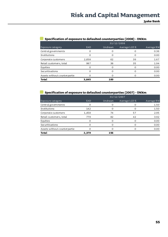| Specification of exposure to defaulted counterparties (2008) - DKKm |              |         |               |            |  |  |
|---------------------------------------------------------------------|--------------|---------|---------------|------------|--|--|
|                                                                     |              |         | 31/12/2008    |            |  |  |
| Exposure category                                                   | <b>EAD</b>   | Undrawn | Average LGD % | Average RW |  |  |
| Central governments                                                 | O            |         |               | 0.36       |  |  |
| Institutions                                                        |              |         |               | 0.00       |  |  |
| Corporate customers                                                 | 2,658        | 62      | 39            | 1.67       |  |  |
| Retail customers, total                                             | 987          | 38      | 35            | 1.94       |  |  |
| Equities                                                            |              | ი       |               | 0.00       |  |  |
| Securitisations                                                     |              |         |               | 0.00       |  |  |
| Assets without counterpartie                                        |              |         |               | 0.00       |  |  |
| <b>Total</b>                                                        | 3,645<br>100 |         |               |            |  |  |

## **Specification of exposure to defaulted counterparties (2008) - DKKm**

## **Specification of exposure to defaulted counterparties (2007) - DKKm**

|                              | 31/12/2007 |         |               |            |
|------------------------------|------------|---------|---------------|------------|
| Exposure category            | <b>EAD</b> | Undrawn | Average LGD % | Average RW |
| Central governments          | ∩          |         |               | 1.50       |
| Institutions                 | 142        |         |               | 1.50       |
| Corporate customers          | 1,458      | 74      | 57            | 2.95       |
| Retail customers, total      | 779        | 82      | 42            | 3.92       |
| Equities                     |            |         |               | 0.00       |
| Securitisations              | ∩          | റ       |               | 0.00       |
| Assets without counterpartie |            |         |               | 0.00       |
| <b>Total</b>                 | 2,379      | 156     |               |            |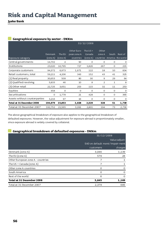## **Jyske Bank**

| Geographical exposure by sector - DNNIII |          |            |             |            |          |              |                             |
|------------------------------------------|----------|------------|-------------|------------|----------|--------------|-----------------------------|
|                                          |          | 31/12/2008 |             |            |          |              |                             |
|                                          |          |            | Other Euro- | The $US +$ | Other    |              |                             |
|                                          | Denmark  | The EU     | pean zone A | Canada     | zone A   | South        | Rest of                     |
| Exposure category                        | (zone A) | (zone A)   | countries   | (zone A)   |          |              | countries America the world |
| Central governments                      | 14,702   | 4          | 50          | O          | 0        | $\circ$      | $\circ$                     |
| Institutions                             | 23,020   | 10,795     | 727         | 1,826      | 267      | $\circ$      | 215                         |
| Corporate customers                      | 94,372   | 6,973      | 1,671       | 122        | 18       | 10           | 834                         |
| Retail customers, total                  | 59,211   | 4,206      | 343         | 152        | 43       | 41           | 325                         |
| $(1)$ Real property                      | 30,653   | 509        | 80          | 30         | 9        | 29           | 64                          |
| (2) Qualified revolving                  | 5,833    | 46         | 10          | 8          | 2        | $\mathbf{1}$ | 8                           |
| (3) Other retail                         | 22,725   | 3,651      | 253         | 115        | 32       | 11           | 253                         |
| Equities                                 | 458      | 0          | 0           | O          | 0        | $\circ$      | 0                           |
| Securitisations                          | 0        | 1,778      | 21          | 428        | $\circ$  | 0            | 365                         |
| Assets without counterparties            | 3,216    | 97         | 16          | $\Omega$   | $\Omega$ | $\Omega$     | $\circ$                     |
| Total at 31 December 2008                | 194,979  | 23,853     | 2,828       | 2,529      | 328      | 51           | 1,739                       |
| Total at 31 December 2007                | 192,752  | 21,565     | 3,091       | 2,801      | 194      | 73           | 2,730                       |

## **Geographical exposure by sector - DKKm**

The above geographical breakdown of exposure also applies to the geographical breakdown of defaulted exposures. However, the value adjustment for exposure abroad is proportionately smaller, since exposure abroad is widely covered by collateral.

## **Geographical breakdown of defaulted exposures - DKKm**

|                                   | 31/12/2008    |                                 |  |  |
|-----------------------------------|---------------|---------------------------------|--|--|
|                                   | Value adjust- |                                 |  |  |
|                                   |               | EAD on default ment/impair-ment |  |  |
|                                   | customers     | charges                         |  |  |
| Denmark (zone A)                  | 3,046         | 1,139                           |  |  |
| The EU (zone A)                   | 579           | 28                              |  |  |
| Other European zone A - countries | 7             | 1                               |  |  |
| The US $+$ Canada (zone A)        |               | 1                               |  |  |
| Other zone A countries            | Ω             | $\Omega$                        |  |  |
| South America                     | 0             | 0                               |  |  |
| Rest of the world                 | 6             | 0                               |  |  |
| Total at 31 December 2008         | 3,645         | 1,169                           |  |  |
| Total at 31 December 2007         | 2,379         | 685                             |  |  |